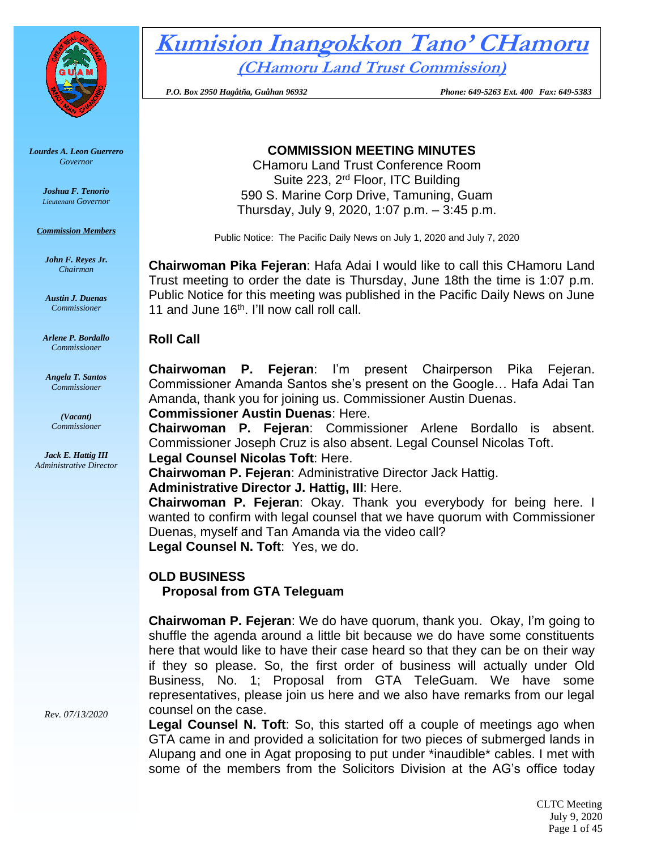

*Lourdes A. Leon Guerrero Governor* 

> *Joshua F. Tenorio Lieutenant Governor*

*Commission Members*

*John F. Reyes Jr. Chairman*

*Austin J. Duenas Commissioner*

*Arlene P. Bordallo Commissioner*

*Angela T. Santos Commissioner*

> *(Vacant) Commissioner*

*Jack E. Hattig III Administrative Director*

*Rev. 07/13/2020*

**Kumision Inangokkon Tano' CHamoru (CHamoru Land Trust Commission)**

 *P.O. Box 2950 Hagåtña, Guåhan 96932 Phone: 649-5263 Ext. 400 Fax: 649-5383*

# **COMMISSION MEETING MINUTES**

CHamoru Land Trust Conference Room Suite 223, 2rd Floor, ITC Building 590 S. Marine Corp Drive, Tamuning, Guam Thursday, July 9, 2020, 1:07 p.m. – 3:45 p.m.

Public Notice: The Pacific Daily News on July 1, 2020 and July 7, 2020

**Chairwoman Pika Fejeran**: Hafa Adai I would like to call this CHamoru Land Trust meeting to order the date is Thursday, June 18th the time is 1:07 p.m. Public Notice for this meeting was published in the Pacific Daily News on June 11 and June 16<sup>th</sup>. I'll now call roll call.

#### **Roll Call**

**Chairwoman P. Fejeran**: I'm present Chairperson Pika Fejeran. Commissioner Amanda Santos she's present on the Google… Hafa Adai Tan Amanda, thank you for joining us. Commissioner Austin Duenas.

**Commissioner Austin Duenas**: Here.

**Chairwoman P. Fejeran**: Commissioner Arlene Bordallo is absent. Commissioner Joseph Cruz is also absent. Legal Counsel Nicolas Toft.

**Legal Counsel Nicolas Toft**: Here.

**Chairwoman P. Fejeran**: Administrative Director Jack Hattig.

**Administrative Director J. Hattig, III**: Here.

**Chairwoman P. Fejeran**: Okay. Thank you everybody for being here. I wanted to confirm with legal counsel that we have quorum with Commissioner Duenas, myself and Tan Amanda via the video call?

**Legal Counsel N. Toft**: Yes, we do.

# **OLD BUSINESS**

**Proposal from GTA Teleguam**

**Chairwoman P. Fejeran**: We do have quorum, thank you. Okay, I'm going to shuffle the agenda around a little bit because we do have some constituents here that would like to have their case heard so that they can be on their way if they so please. So, the first order of business will actually under Old Business, No. 1; Proposal from GTA TeleGuam. We have some representatives, please join us here and we also have remarks from our legal counsel on the case.

**Legal Counsel N. Toft**: So, this started off a couple of meetings ago when GTA came in and provided a solicitation for two pieces of submerged lands in Alupang and one in Agat proposing to put under \*inaudible\* cables. I met with some of the members from the Solicitors Division at the AG's office today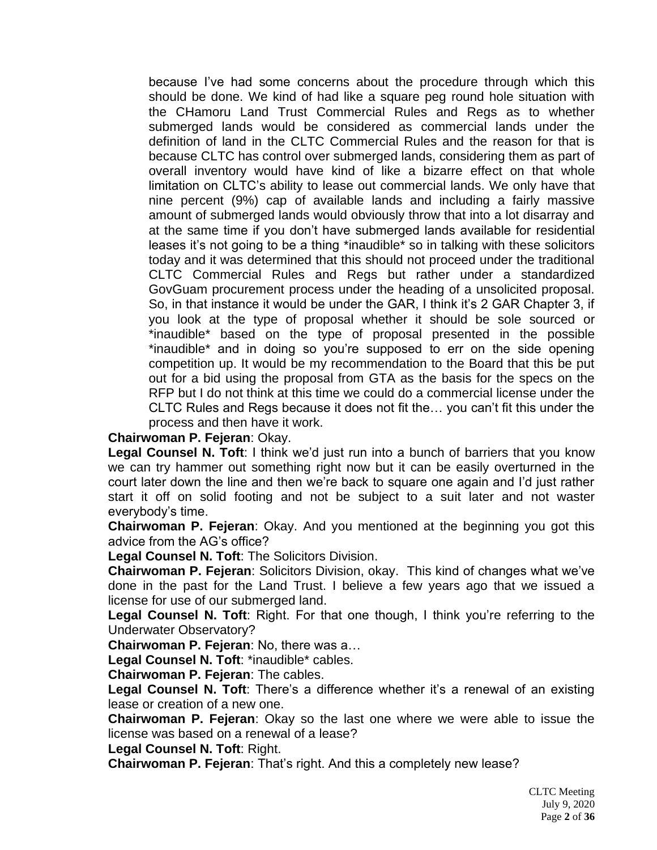because I've had some concerns about the procedure through which this should be done. We kind of had like a square peg round hole situation with the CHamoru Land Trust Commercial Rules and Regs as to whether submerged lands would be considered as commercial lands under the definition of land in the CLTC Commercial Rules and the reason for that is because CLTC has control over submerged lands, considering them as part of overall inventory would have kind of like a bizarre effect on that whole limitation on CLTC's ability to lease out commercial lands. We only have that nine percent (9%) cap of available lands and including a fairly massive amount of submerged lands would obviously throw that into a lot disarray and at the same time if you don't have submerged lands available for residential leases it's not going to be a thing \*inaudible\* so in talking with these solicitors today and it was determined that this should not proceed under the traditional CLTC Commercial Rules and Regs but rather under a standardized GovGuam procurement process under the heading of a unsolicited proposal. So, in that instance it would be under the GAR, I think it's 2 GAR Chapter 3, if you look at the type of proposal whether it should be sole sourced or \*inaudible\* based on the type of proposal presented in the possible \*inaudible\* and in doing so you're supposed to err on the side opening competition up. It would be my recommendation to the Board that this be put out for a bid using the proposal from GTA as the basis for the specs on the RFP but I do not think at this time we could do a commercial license under the CLTC Rules and Regs because it does not fit the… you can't fit this under the process and then have it work.

#### **Chairwoman P. Fejeran**: Okay.

**Legal Counsel N. Toft**: I think we'd just run into a bunch of barriers that you know we can try hammer out something right now but it can be easily overturned in the court later down the line and then we're back to square one again and I'd just rather start it off on solid footing and not be subject to a suit later and not waster everybody's time.

**Chairwoman P. Fejeran**: Okay. And you mentioned at the beginning you got this advice from the AG's office?

**Legal Counsel N. Toft**: The Solicitors Division.

**Chairwoman P. Fejeran**: Solicitors Division, okay. This kind of changes what we've done in the past for the Land Trust. I believe a few years ago that we issued a license for use of our submerged land.

**Legal Counsel N. Toft**: Right. For that one though, I think you're referring to the Underwater Observatory?

**Chairwoman P. Fejeran**: No, there was a…

**Legal Counsel N. Toft**: \*inaudible\* cables.

**Chairwoman P. Fejeran**: The cables.

**Legal Counsel N. Toft**: There's a difference whether it's a renewal of an existing lease or creation of a new one.

**Chairwoman P. Fejeran**: Okay so the last one where we were able to issue the license was based on a renewal of a lease?

**Legal Counsel N. Toft**: Right.

**Chairwoman P. Fejeran**: That's right. And this a completely new lease?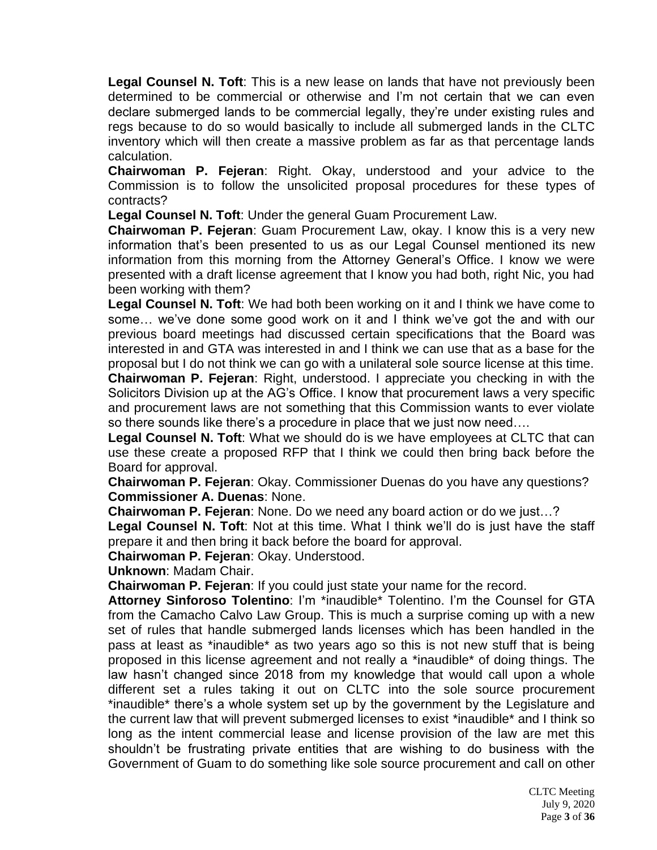**Legal Counsel N. Toft**: This is a new lease on lands that have not previously been determined to be commercial or otherwise and I'm not certain that we can even declare submerged lands to be commercial legally, they're under existing rules and regs because to do so would basically to include all submerged lands in the CLTC inventory which will then create a massive problem as far as that percentage lands calculation.

**Chairwoman P. Fejeran**: Right. Okay, understood and your advice to the Commission is to follow the unsolicited proposal procedures for these types of contracts?

**Legal Counsel N. Toft**: Under the general Guam Procurement Law.

**Chairwoman P. Fejeran**: Guam Procurement Law, okay. I know this is a very new information that's been presented to us as our Legal Counsel mentioned its new information from this morning from the Attorney General's Office. I know we were presented with a draft license agreement that I know you had both, right Nic, you had been working with them?

**Legal Counsel N. Toft**: We had both been working on it and I think we have come to some… we've done some good work on it and I think we've got the and with our previous board meetings had discussed certain specifications that the Board was interested in and GTA was interested in and I think we can use that as a base for the proposal but I do not think we can go with a unilateral sole source license at this time.

**Chairwoman P. Fejeran**: Right, understood. I appreciate you checking in with the Solicitors Division up at the AG's Office. I know that procurement laws a very specific and procurement laws are not something that this Commission wants to ever violate so there sounds like there's a procedure in place that we just now need….

**Legal Counsel N. Toft**: What we should do is we have employees at CLTC that can use these create a proposed RFP that I think we could then bring back before the Board for approval.

**Chairwoman P. Fejeran**: Okay. Commissioner Duenas do you have any questions? **Commissioner A. Duenas**: None.

**Chairwoman P. Fejeran**: None. Do we need any board action or do we just…?

**Legal Counsel N. Toft**: Not at this time. What I think we'll do is just have the staff prepare it and then bring it back before the board for approval.

**Chairwoman P. Fejeran**: Okay. Understood.

**Unknown**: Madam Chair.

**Chairwoman P. Fejeran**: If you could just state your name for the record.

**Attorney Sinforoso Tolentino**: I'm \*inaudible\* Tolentino. I'm the Counsel for GTA from the Camacho Calvo Law Group. This is much a surprise coming up with a new set of rules that handle submerged lands licenses which has been handled in the pass at least as \*inaudible\* as two years ago so this is not new stuff that is being proposed in this license agreement and not really a \*inaudible\* of doing things. The law hasn't changed since 2018 from my knowledge that would call upon a whole different set a rules taking it out on CLTC into the sole source procurement \*inaudible\* there's a whole system set up by the government by the Legislature and the current law that will prevent submerged licenses to exist \*inaudible\* and I think so long as the intent commercial lease and license provision of the law are met this shouldn't be frustrating private entities that are wishing to do business with the Government of Guam to do something like sole source procurement and call on other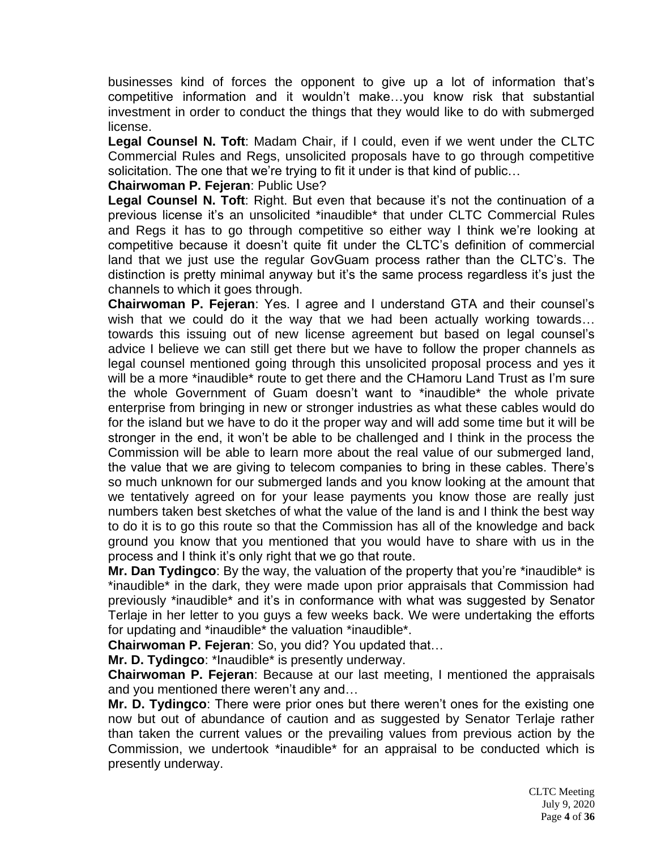businesses kind of forces the opponent to give up a lot of information that's competitive information and it wouldn't make…you know risk that substantial investment in order to conduct the things that they would like to do with submerged license.

**Legal Counsel N. Toft**: Madam Chair, if I could, even if we went under the CLTC Commercial Rules and Regs, unsolicited proposals have to go through competitive solicitation. The one that we're trying to fit it under is that kind of public…

#### **Chairwoman P. Fejeran**: Public Use?

**Legal Counsel N. Toft**: Right. But even that because it's not the continuation of a previous license it's an unsolicited \*inaudible\* that under CLTC Commercial Rules and Regs it has to go through competitive so either way I think we're looking at competitive because it doesn't quite fit under the CLTC's definition of commercial land that we just use the regular GovGuam process rather than the CLTC's. The distinction is pretty minimal anyway but it's the same process regardless it's just the channels to which it goes through.

**Chairwoman P. Fejeran**: Yes. I agree and I understand GTA and their counsel's wish that we could do it the way that we had been actually working towards… towards this issuing out of new license agreement but based on legal counsel's advice I believe we can still get there but we have to follow the proper channels as legal counsel mentioned going through this unsolicited proposal process and yes it will be a more \*inaudible\* route to get there and the CHamoru Land Trust as I'm sure the whole Government of Guam doesn't want to \*inaudible\* the whole private enterprise from bringing in new or stronger industries as what these cables would do for the island but we have to do it the proper way and will add some time but it will be stronger in the end, it won't be able to be challenged and I think in the process the Commission will be able to learn more about the real value of our submerged land, the value that we are giving to telecom companies to bring in these cables. There's so much unknown for our submerged lands and you know looking at the amount that we tentatively agreed on for your lease payments you know those are really just numbers taken best sketches of what the value of the land is and I think the best way to do it is to go this route so that the Commission has all of the knowledge and back ground you know that you mentioned that you would have to share with us in the process and I think it's only right that we go that route.

**Mr. Dan Tydingco**: By the way, the valuation of the property that you're \*inaudible\* is \*inaudible\* in the dark, they were made upon prior appraisals that Commission had previously \*inaudible\* and it's in conformance with what was suggested by Senator Terlaje in her letter to you guys a few weeks back. We were undertaking the efforts for updating and \*inaudible\* the valuation \*inaudible\*.

**Chairwoman P. Fejeran**: So, you did? You updated that…

**Mr. D. Tydingco**: \*Inaudible\* is presently underway.

**Chairwoman P. Fejeran**: Because at our last meeting, I mentioned the appraisals and you mentioned there weren't any and…

**Mr. D. Tydingco**: There were prior ones but there weren't ones for the existing one now but out of abundance of caution and as suggested by Senator Terlaje rather than taken the current values or the prevailing values from previous action by the Commission, we undertook \*inaudible\* for an appraisal to be conducted which is presently underway.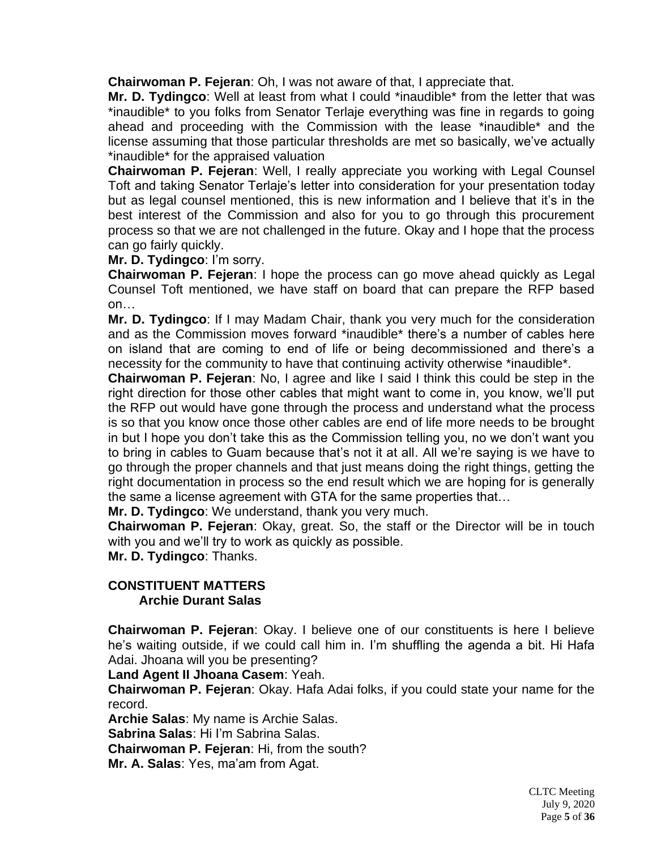**Chairwoman P. Fejeran**: Oh, I was not aware of that, I appreciate that.

**Mr. D. Tydingco**: Well at least from what I could \*inaudible\* from the letter that was \*inaudible\* to you folks from Senator Terlaje everything was fine in regards to going ahead and proceeding with the Commission with the lease \*inaudible\* and the license assuming that those particular thresholds are met so basically, we've actually \*inaudible\* for the appraised valuation

**Chairwoman P. Fejeran**: Well, I really appreciate you working with Legal Counsel Toft and taking Senator Terlaje's letter into consideration for your presentation today but as legal counsel mentioned, this is new information and I believe that it's in the best interest of the Commission and also for you to go through this procurement process so that we are not challenged in the future. Okay and I hope that the process can go fairly quickly.

**Mr. D. Tydingco**: I'm sorry.

**Chairwoman P. Fejeran**: I hope the process can go move ahead quickly as Legal Counsel Toft mentioned, we have staff on board that can prepare the RFP based on…

**Mr. D. Tydingco**: If I may Madam Chair, thank you very much for the consideration and as the Commission moves forward \*inaudible\* there's a number of cables here on island that are coming to end of life or being decommissioned and there's a necessity for the community to have that continuing activity otherwise \*inaudible\*.

**Chairwoman P. Fejeran**: No, I agree and like I said I think this could be step in the right direction for those other cables that might want to come in, you know, we'll put the RFP out would have gone through the process and understand what the process is so that you know once those other cables are end of life more needs to be brought in but I hope you don't take this as the Commission telling you, no we don't want you to bring in cables to Guam because that's not it at all. All we're saying is we have to go through the proper channels and that just means doing the right things, getting the right documentation in process so the end result which we are hoping for is generally the same a license agreement with GTA for the same properties that…

**Mr. D. Tydingco**: We understand, thank you very much.

**Chairwoman P. Fejeran**: Okay, great. So, the staff or the Director will be in touch with you and we'll try to work as quickly as possible.

**Mr. D. Tydingco**: Thanks.

#### **CONSTITUENT MATTERS Archie Durant Salas**

**Chairwoman P. Fejeran**: Okay. I believe one of our constituents is here I believe he's waiting outside, if we could call him in. I'm shuffling the agenda a bit. Hi Hafa Adai. Jhoana will you be presenting?

**Land Agent II Jhoana Casem**: Yeah.

**Chairwoman P. Fejeran**: Okay. Hafa Adai folks, if you could state your name for the record.

**Archie Salas**: My name is Archie Salas.

**Sabrina Salas**: Hi I'm Sabrina Salas.

**Chairwoman P. Fejeran**: Hi, from the south?

**Mr. A. Salas**: Yes, ma'am from Agat.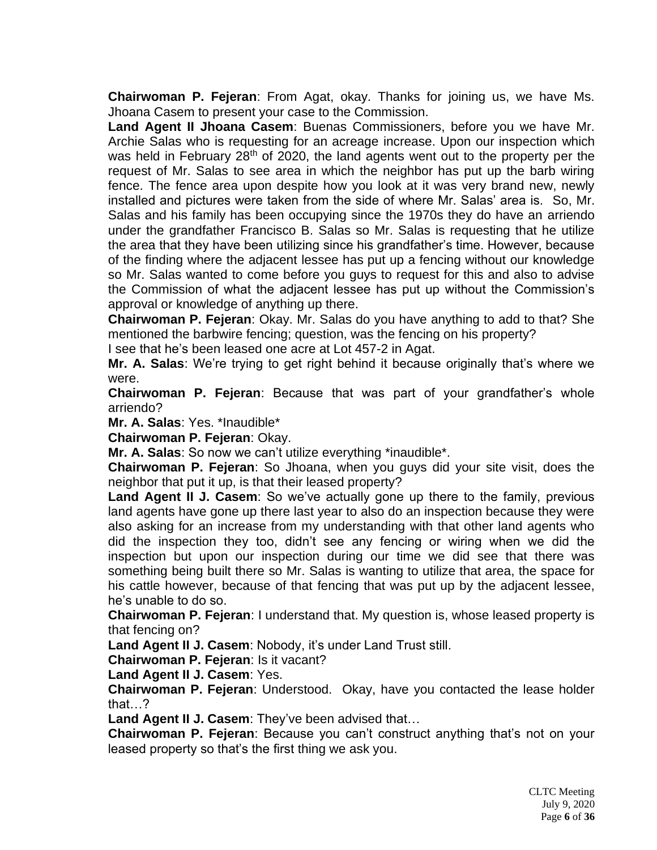**Chairwoman P. Fejeran**: From Agat, okay. Thanks for joining us, we have Ms. Jhoana Casem to present your case to the Commission.

**Land Agent II Jhoana Casem**: Buenas Commissioners, before you we have Mr. Archie Salas who is requesting for an acreage increase. Upon our inspection which was held in February 28<sup>th</sup> of 2020, the land agents went out to the property per the request of Mr. Salas to see area in which the neighbor has put up the barb wiring fence. The fence area upon despite how you look at it was very brand new, newly installed and pictures were taken from the side of where Mr. Salas' area is. So, Mr. Salas and his family has been occupying since the 1970s they do have an arriendo under the grandfather Francisco B. Salas so Mr. Salas is requesting that he utilize the area that they have been utilizing since his grandfather's time. However, because of the finding where the adjacent lessee has put up a fencing without our knowledge so Mr. Salas wanted to come before you guys to request for this and also to advise the Commission of what the adjacent lessee has put up without the Commission's approval or knowledge of anything up there.

**Chairwoman P. Fejeran**: Okay. Mr. Salas do you have anything to add to that? She mentioned the barbwire fencing; question, was the fencing on his property?

I see that he's been leased one acre at Lot 457-2 in Agat.

**Mr. A. Salas**: We're trying to get right behind it because originally that's where we were.

**Chairwoman P. Fejeran**: Because that was part of your grandfather's whole arriendo?

**Mr. A. Salas**: Yes. \*Inaudible\*

**Chairwoman P. Fejeran**: Okay.

**Mr. A. Salas**: So now we can't utilize everything \*inaudible\*.

**Chairwoman P. Fejeran**: So Jhoana, when you guys did your site visit, does the neighbor that put it up, is that their leased property?

**Land Agent II J. Casem**: So we've actually gone up there to the family, previous land agents have gone up there last year to also do an inspection because they were also asking for an increase from my understanding with that other land agents who did the inspection they too, didn't see any fencing or wiring when we did the inspection but upon our inspection during our time we did see that there was something being built there so Mr. Salas is wanting to utilize that area, the space for his cattle however, because of that fencing that was put up by the adjacent lessee, he's unable to do so.

**Chairwoman P. Fejeran**: I understand that. My question is, whose leased property is that fencing on?

**Land Agent II J. Casem**: Nobody, it's under Land Trust still.

**Chairwoman P. Fejeran**: Is it vacant?

**Land Agent II J. Casem**: Yes.

**Chairwoman P. Fejeran**: Understood. Okay, have you contacted the lease holder that…?

**Land Agent II J. Casem**: They've been advised that…

**Chairwoman P. Fejeran**: Because you can't construct anything that's not on your leased property so that's the first thing we ask you.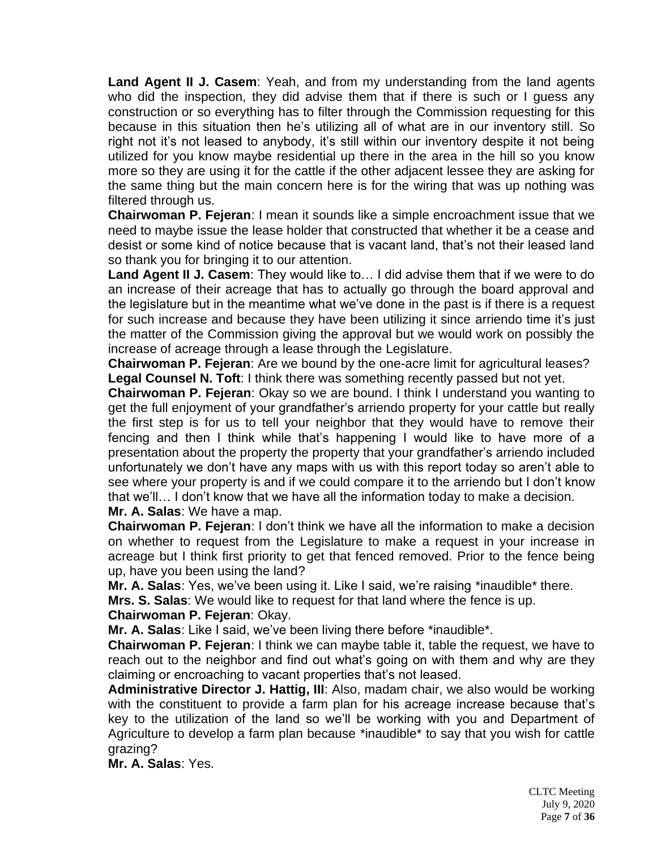**Land Agent II J. Casem**: Yeah, and from my understanding from the land agents who did the inspection, they did advise them that if there is such or I guess any construction or so everything has to filter through the Commission requesting for this because in this situation then he's utilizing all of what are in our inventory still. So right not it's not leased to anybody, it's still within our inventory despite it not being utilized for you know maybe residential up there in the area in the hill so you know more so they are using it for the cattle if the other adjacent lessee they are asking for the same thing but the main concern here is for the wiring that was up nothing was filtered through us.

**Chairwoman P. Fejeran**: I mean it sounds like a simple encroachment issue that we need to maybe issue the lease holder that constructed that whether it be a cease and desist or some kind of notice because that is vacant land, that's not their leased land so thank you for bringing it to our attention.

**Land Agent II J. Casem**: They would like to… I did advise them that if we were to do an increase of their acreage that has to actually go through the board approval and the legislature but in the meantime what we've done in the past is if there is a request for such increase and because they have been utilizing it since arriendo time it's just the matter of the Commission giving the approval but we would work on possibly the increase of acreage through a lease through the Legislature.

**Chairwoman P. Fejeran**: Are we bound by the one-acre limit for agricultural leases? **Legal Counsel N. Toft**: I think there was something recently passed but not yet.

**Chairwoman P. Fejeran**: Okay so we are bound. I think I understand you wanting to get the full enjoyment of your grandfather's arriendo property for your cattle but really the first step is for us to tell your neighbor that they would have to remove their fencing and then I think while that's happening I would like to have more of a presentation about the property the property that your grandfather's arriendo included unfortunately we don't have any maps with us with this report today so aren't able to see where your property is and if we could compare it to the arriendo but I don't know that we'll… I don't know that we have all the information today to make a decision. **Mr. A. Salas**: We have a map.

**Chairwoman P. Fejeran**: I don't think we have all the information to make a decision on whether to request from the Legislature to make a request in your increase in acreage but I think first priority to get that fenced removed. Prior to the fence being up, have you been using the land?

**Mr. A. Salas**: Yes, we've been using it. Like I said, we're raising \*inaudible\* there.

**Mrs. S. Salas**: We would like to request for that land where the fence is up.

#### **Chairwoman P. Fejeran**: Okay.

**Mr. A. Salas**: Like I said, we've been living there before \*inaudible\*.

**Chairwoman P. Fejeran**: I think we can maybe table it, table the request, we have to reach out to the neighbor and find out what's going on with them and why are they claiming or encroaching to vacant properties that's not leased.

**Administrative Director J. Hattig, III**: Also, madam chair, we also would be working with the constituent to provide a farm plan for his acreage increase because that's key to the utilization of the land so we'll be working with you and Department of Agriculture to develop a farm plan because \*inaudible\* to say that you wish for cattle grazing?

**Mr. A. Salas**: Yes.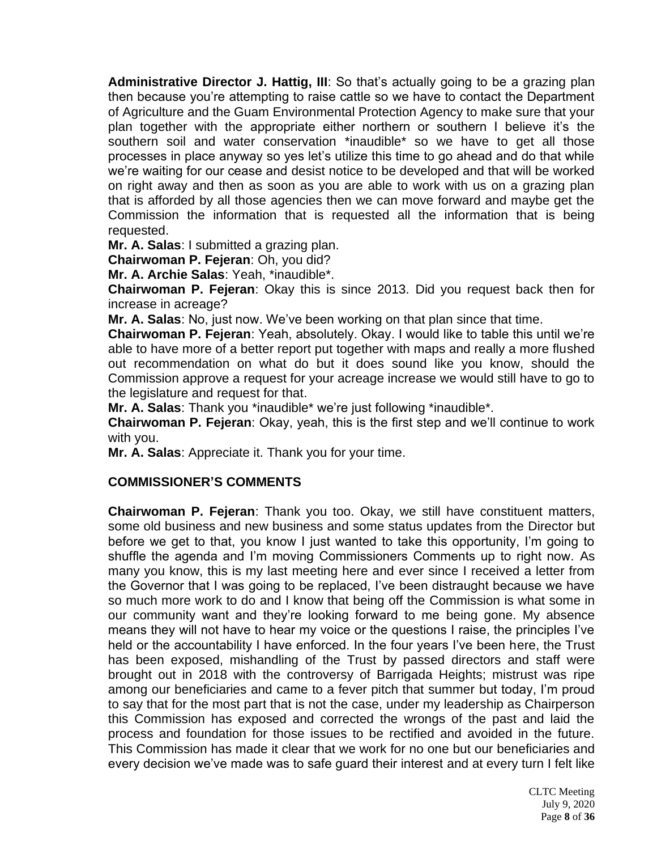Administrative Director J. Hattig, III: So that's actually going to be a grazing plan then because you're attempting to raise cattle so we have to contact the Department of Agriculture and the Guam Environmental Protection Agency to make sure that your plan together with the appropriate either northern or southern I believe it's the southern soil and water conservation \*inaudible\* so we have to get all those processes in place anyway so yes let's utilize this time to go ahead and do that while we're waiting for our cease and desist notice to be developed and that will be worked on right away and then as soon as you are able to work with us on a grazing plan that is afforded by all those agencies then we can move forward and maybe get the Commission the information that is requested all the information that is being requested.

**Mr. A. Salas**: I submitted a grazing plan.

**Chairwoman P. Fejeran**: Oh, you did?

**Mr. A. Archie Salas**: Yeah, \*inaudible\*.

**Chairwoman P. Fejeran**: Okay this is since 2013. Did you request back then for increase in acreage?

**Mr. A. Salas**: No, just now. We've been working on that plan since that time.

**Chairwoman P. Fejeran**: Yeah, absolutely. Okay. I would like to table this until we're able to have more of a better report put together with maps and really a more flushed out recommendation on what do but it does sound like you know, should the Commission approve a request for your acreage increase we would still have to go to the legislature and request for that.

**Mr. A. Salas**: Thank you \*inaudible\* we're just following \*inaudible\*.

**Chairwoman P. Fejeran**: Okay, yeah, this is the first step and we'll continue to work with you.

**Mr. A. Salas**: Appreciate it. Thank you for your time.

#### **COMMISSIONER'S COMMENTS**

**Chairwoman P. Fejeran**: Thank you too. Okay, we still have constituent matters, some old business and new business and some status updates from the Director but before we get to that, you know I just wanted to take this opportunity, I'm going to shuffle the agenda and I'm moving Commissioners Comments up to right now. As many you know, this is my last meeting here and ever since I received a letter from the Governor that I was going to be replaced, I've been distraught because we have so much more work to do and I know that being off the Commission is what some in our community want and they're looking forward to me being gone. My absence means they will not have to hear my voice or the questions I raise, the principles I've held or the accountability I have enforced. In the four years I've been here, the Trust has been exposed, mishandling of the Trust by passed directors and staff were brought out in 2018 with the controversy of Barrigada Heights; mistrust was ripe among our beneficiaries and came to a fever pitch that summer but today, I'm proud to say that for the most part that is not the case, under my leadership as Chairperson this Commission has exposed and corrected the wrongs of the past and laid the process and foundation for those issues to be rectified and avoided in the future. This Commission has made it clear that we work for no one but our beneficiaries and every decision we've made was to safe guard their interest and at every turn I felt like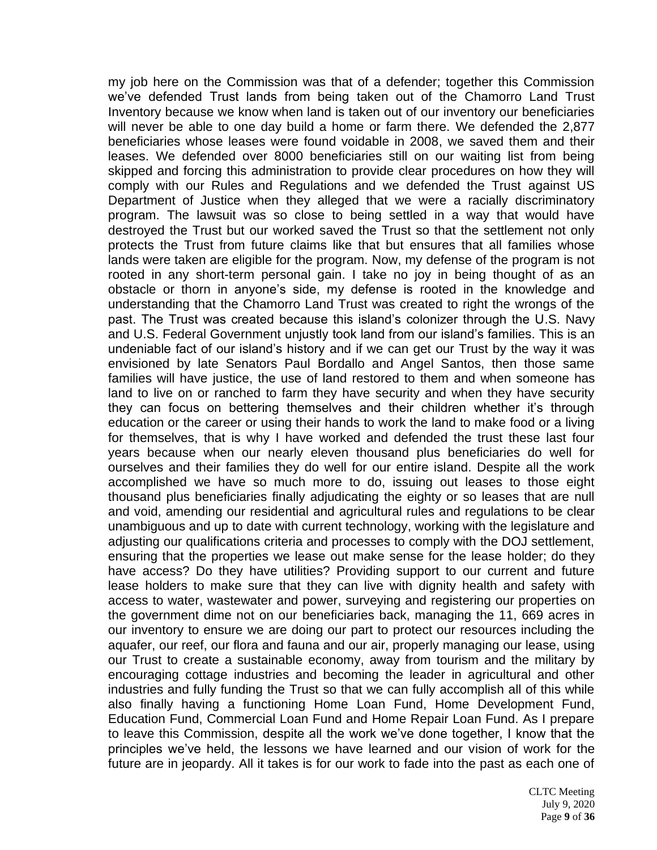my job here on the Commission was that of a defender; together this Commission we've defended Trust lands from being taken out of the Chamorro Land Trust Inventory because we know when land is taken out of our inventory our beneficiaries will never be able to one day build a home or farm there. We defended the 2,877 beneficiaries whose leases were found voidable in 2008, we saved them and their leases. We defended over 8000 beneficiaries still on our waiting list from being skipped and forcing this administration to provide clear procedures on how they will comply with our Rules and Regulations and we defended the Trust against US Department of Justice when they alleged that we were a racially discriminatory program. The lawsuit was so close to being settled in a way that would have destroyed the Trust but our worked saved the Trust so that the settlement not only protects the Trust from future claims like that but ensures that all families whose lands were taken are eligible for the program. Now, my defense of the program is not rooted in any short-term personal gain. I take no joy in being thought of as an obstacle or thorn in anyone's side, my defense is rooted in the knowledge and understanding that the Chamorro Land Trust was created to right the wrongs of the past. The Trust was created because this island's colonizer through the U.S. Navy and U.S. Federal Government unjustly took land from our island's families. This is an undeniable fact of our island's history and if we can get our Trust by the way it was envisioned by late Senators Paul Bordallo and Angel Santos, then those same families will have justice, the use of land restored to them and when someone has land to live on or ranched to farm they have security and when they have security they can focus on bettering themselves and their children whether it's through education or the career or using their hands to work the land to make food or a living for themselves, that is why I have worked and defended the trust these last four years because when our nearly eleven thousand plus beneficiaries do well for ourselves and their families they do well for our entire island. Despite all the work accomplished we have so much more to do, issuing out leases to those eight thousand plus beneficiaries finally adjudicating the eighty or so leases that are null and void, amending our residential and agricultural rules and regulations to be clear unambiguous and up to date with current technology, working with the legislature and adjusting our qualifications criteria and processes to comply with the DOJ settlement, ensuring that the properties we lease out make sense for the lease holder; do they have access? Do they have utilities? Providing support to our current and future lease holders to make sure that they can live with dignity health and safety with access to water, wastewater and power, surveying and registering our properties on the government dime not on our beneficiaries back, managing the 11, 669 acres in our inventory to ensure we are doing our part to protect our resources including the aquafer, our reef, our flora and fauna and our air, properly managing our lease, using our Trust to create a sustainable economy, away from tourism and the military by encouraging cottage industries and becoming the leader in agricultural and other industries and fully funding the Trust so that we can fully accomplish all of this while also finally having a functioning Home Loan Fund, Home Development Fund, Education Fund, Commercial Loan Fund and Home Repair Loan Fund. As I prepare to leave this Commission, despite all the work we've done together, I know that the principles we've held, the lessons we have learned and our vision of work for the future are in jeopardy. All it takes is for our work to fade into the past as each one of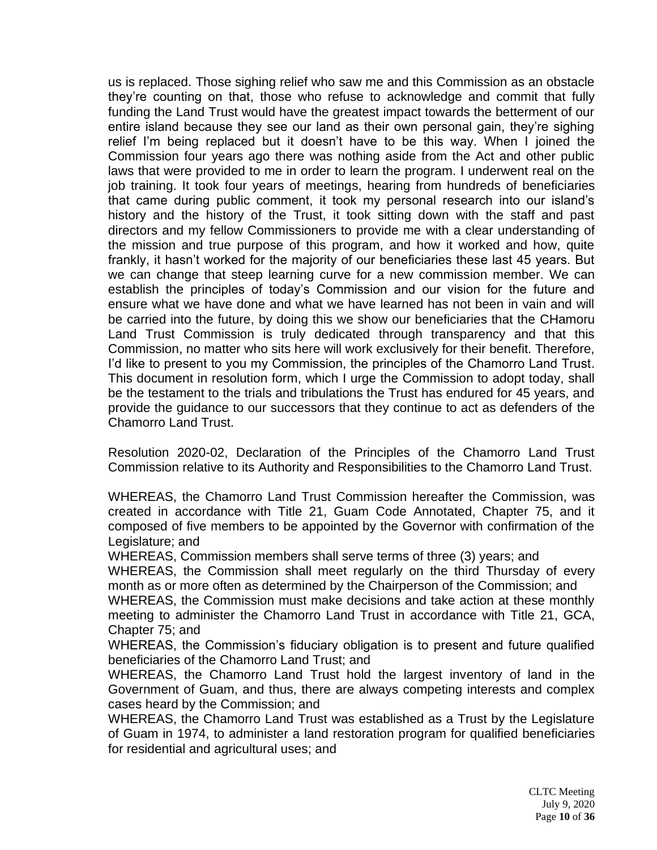us is replaced. Those sighing relief who saw me and this Commission as an obstacle they're counting on that, those who refuse to acknowledge and commit that fully funding the Land Trust would have the greatest impact towards the betterment of our entire island because they see our land as their own personal gain, they're sighing relief I'm being replaced but it doesn't have to be this way. When I joined the Commission four years ago there was nothing aside from the Act and other public laws that were provided to me in order to learn the program. I underwent real on the job training. It took four years of meetings, hearing from hundreds of beneficiaries that came during public comment, it took my personal research into our island's history and the history of the Trust, it took sitting down with the staff and past directors and my fellow Commissioners to provide me with a clear understanding of the mission and true purpose of this program, and how it worked and how, quite frankly, it hasn't worked for the majority of our beneficiaries these last 45 years. But we can change that steep learning curve for a new commission member. We can establish the principles of today's Commission and our vision for the future and ensure what we have done and what we have learned has not been in vain and will be carried into the future, by doing this we show our beneficiaries that the CHamoru Land Trust Commission is truly dedicated through transparency and that this Commission, no matter who sits here will work exclusively for their benefit. Therefore, I'd like to present to you my Commission, the principles of the Chamorro Land Trust. This document in resolution form, which I urge the Commission to adopt today, shall be the testament to the trials and tribulations the Trust has endured for 45 years, and provide the guidance to our successors that they continue to act as defenders of the Chamorro Land Trust.

Resolution 2020-02, Declaration of the Principles of the Chamorro Land Trust Commission relative to its Authority and Responsibilities to the Chamorro Land Trust.

WHEREAS, the Chamorro Land Trust Commission hereafter the Commission, was created in accordance with Title 21, Guam Code Annotated, Chapter 75, and it composed of five members to be appointed by the Governor with confirmation of the Legislature; and

WHEREAS, Commission members shall serve terms of three (3) years; and

WHEREAS, the Commission shall meet regularly on the third Thursday of every month as or more often as determined by the Chairperson of the Commission; and

WHEREAS, the Commission must make decisions and take action at these monthly meeting to administer the Chamorro Land Trust in accordance with Title 21, GCA, Chapter 75; and

WHEREAS, the Commission's fiduciary obligation is to present and future qualified beneficiaries of the Chamorro Land Trust; and

WHEREAS, the Chamorro Land Trust hold the largest inventory of land in the Government of Guam, and thus, there are always competing interests and complex cases heard by the Commission; and

WHEREAS, the Chamorro Land Trust was established as a Trust by the Legislature of Guam in 1974, to administer a land restoration program for qualified beneficiaries for residential and agricultural uses; and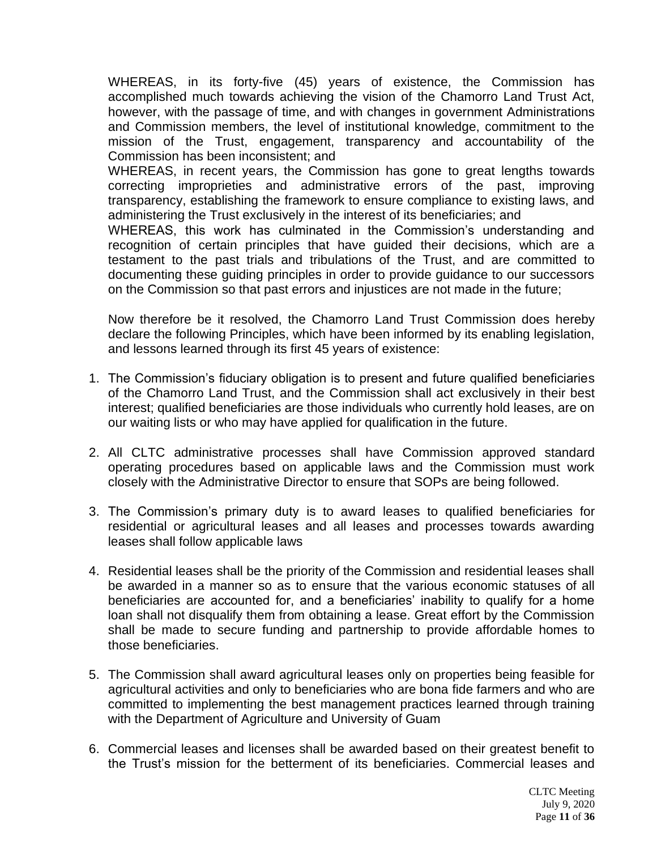WHEREAS, in its forty-five (45) years of existence, the Commission has accomplished much towards achieving the vision of the Chamorro Land Trust Act, however, with the passage of time, and with changes in government Administrations and Commission members, the level of institutional knowledge, commitment to the mission of the Trust, engagement, transparency and accountability of the Commission has been inconsistent; and

WHEREAS, in recent years, the Commission has gone to great lengths towards correcting improprieties and administrative errors of the past, improving transparency, establishing the framework to ensure compliance to existing laws, and administering the Trust exclusively in the interest of its beneficiaries; and

WHEREAS, this work has culminated in the Commission's understanding and recognition of certain principles that have guided their decisions, which are a testament to the past trials and tribulations of the Trust, and are committed to documenting these guiding principles in order to provide guidance to our successors on the Commission so that past errors and injustices are not made in the future;

Now therefore be it resolved, the Chamorro Land Trust Commission does hereby declare the following Principles, which have been informed by its enabling legislation, and lessons learned through its first 45 years of existence:

- 1. The Commission's fiduciary obligation is to present and future qualified beneficiaries of the Chamorro Land Trust, and the Commission shall act exclusively in their best interest; qualified beneficiaries are those individuals who currently hold leases, are on our waiting lists or who may have applied for qualification in the future.
- 2. All CLTC administrative processes shall have Commission approved standard operating procedures based on applicable laws and the Commission must work closely with the Administrative Director to ensure that SOPs are being followed.
- 3. The Commission's primary duty is to award leases to qualified beneficiaries for residential or agricultural leases and all leases and processes towards awarding leases shall follow applicable laws
- 4. Residential leases shall be the priority of the Commission and residential leases shall be awarded in a manner so as to ensure that the various economic statuses of all beneficiaries are accounted for, and a beneficiaries' inability to qualify for a home loan shall not disqualify them from obtaining a lease. Great effort by the Commission shall be made to secure funding and partnership to provide affordable homes to those beneficiaries.
- 5. The Commission shall award agricultural leases only on properties being feasible for agricultural activities and only to beneficiaries who are bona fide farmers and who are committed to implementing the best management practices learned through training with the Department of Agriculture and University of Guam
- 6. Commercial leases and licenses shall be awarded based on their greatest benefit to the Trust's mission for the betterment of its beneficiaries. Commercial leases and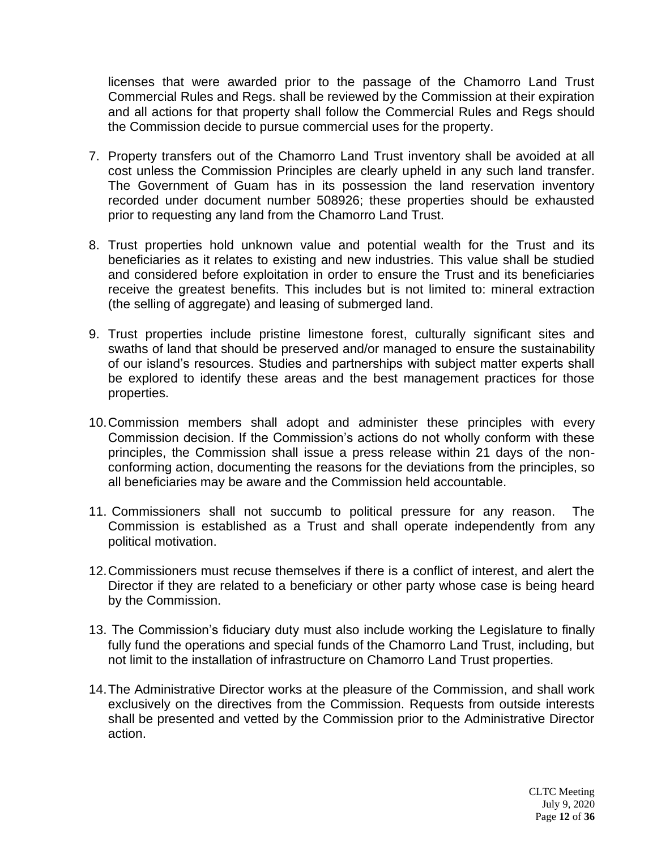licenses that were awarded prior to the passage of the Chamorro Land Trust Commercial Rules and Regs. shall be reviewed by the Commission at their expiration and all actions for that property shall follow the Commercial Rules and Regs should the Commission decide to pursue commercial uses for the property.

- 7. Property transfers out of the Chamorro Land Trust inventory shall be avoided at all cost unless the Commission Principles are clearly upheld in any such land transfer. The Government of Guam has in its possession the land reservation inventory recorded under document number 508926; these properties should be exhausted prior to requesting any land from the Chamorro Land Trust.
- 8. Trust properties hold unknown value and potential wealth for the Trust and its beneficiaries as it relates to existing and new industries. This value shall be studied and considered before exploitation in order to ensure the Trust and its beneficiaries receive the greatest benefits. This includes but is not limited to: mineral extraction (the selling of aggregate) and leasing of submerged land.
- 9. Trust properties include pristine limestone forest, culturally significant sites and swaths of land that should be preserved and/or managed to ensure the sustainability of our island's resources. Studies and partnerships with subject matter experts shall be explored to identify these areas and the best management practices for those properties.
- 10.Commission members shall adopt and administer these principles with every Commission decision. If the Commission's actions do not wholly conform with these principles, the Commission shall issue a press release within 21 days of the nonconforming action, documenting the reasons for the deviations from the principles, so all beneficiaries may be aware and the Commission held accountable.
- 11. Commissioners shall not succumb to political pressure for any reason. The Commission is established as a Trust and shall operate independently from any political motivation.
- 12.Commissioners must recuse themselves if there is a conflict of interest, and alert the Director if they are related to a beneficiary or other party whose case is being heard by the Commission.
- 13. The Commission's fiduciary duty must also include working the Legislature to finally fully fund the operations and special funds of the Chamorro Land Trust, including, but not limit to the installation of infrastructure on Chamorro Land Trust properties.
- 14.The Administrative Director works at the pleasure of the Commission, and shall work exclusively on the directives from the Commission. Requests from outside interests shall be presented and vetted by the Commission prior to the Administrative Director action.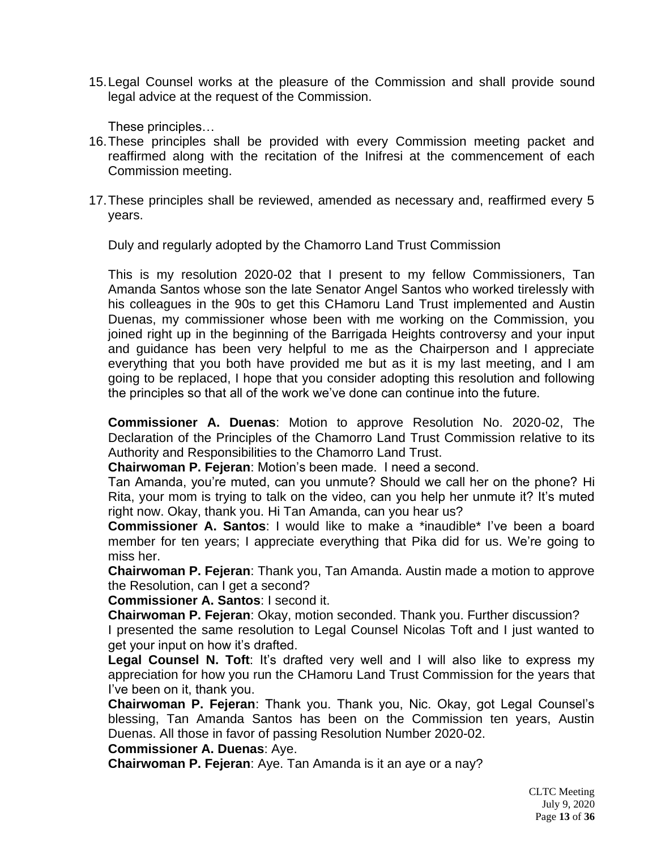15.Legal Counsel works at the pleasure of the Commission and shall provide sound legal advice at the request of the Commission.

These principles…

- 16.These principles shall be provided with every Commission meeting packet and reaffirmed along with the recitation of the Inifresi at the commencement of each Commission meeting.
- 17.These principles shall be reviewed, amended as necessary and, reaffirmed every 5 years.

Duly and regularly adopted by the Chamorro Land Trust Commission

This is my resolution 2020-02 that I present to my fellow Commissioners, Tan Amanda Santos whose son the late Senator Angel Santos who worked tirelessly with his colleagues in the 90s to get this CHamoru Land Trust implemented and Austin Duenas, my commissioner whose been with me working on the Commission, you joined right up in the beginning of the Barrigada Heights controversy and your input and guidance has been very helpful to me as the Chairperson and I appreciate everything that you both have provided me but as it is my last meeting, and I am going to be replaced, I hope that you consider adopting this resolution and following the principles so that all of the work we've done can continue into the future.

**Commissioner A. Duenas**: Motion to approve Resolution No. 2020-02, The Declaration of the Principles of the Chamorro Land Trust Commission relative to its Authority and Responsibilities to the Chamorro Land Trust.

**Chairwoman P. Fejeran**: Motion's been made. I need a second.

Tan Amanda, you're muted, can you unmute? Should we call her on the phone? Hi Rita, your mom is trying to talk on the video, can you help her unmute it? It's muted right now. Okay, thank you. Hi Tan Amanda, can you hear us?

**Commissioner A. Santos**: I would like to make a \*inaudible\* I've been a board member for ten years; I appreciate everything that Pika did for us. We're going to miss her.

**Chairwoman P. Fejeran**: Thank you, Tan Amanda. Austin made a motion to approve the Resolution, can I get a second?

**Commissioner A. Santos**: I second it.

**Chairwoman P. Fejeran**: Okay, motion seconded. Thank you. Further discussion?

I presented the same resolution to Legal Counsel Nicolas Toft and I just wanted to get your input on how it's drafted.

Legal Counsel N. Toft: It's drafted very well and I will also like to express my appreciation for how you run the CHamoru Land Trust Commission for the years that I've been on it, thank you.

**Chairwoman P. Fejeran**: Thank you. Thank you, Nic. Okay, got Legal Counsel's blessing, Tan Amanda Santos has been on the Commission ten years, Austin Duenas. All those in favor of passing Resolution Number 2020-02.

**Commissioner A. Duenas**: Aye.

**Chairwoman P. Fejeran**: Aye. Tan Amanda is it an aye or a nay?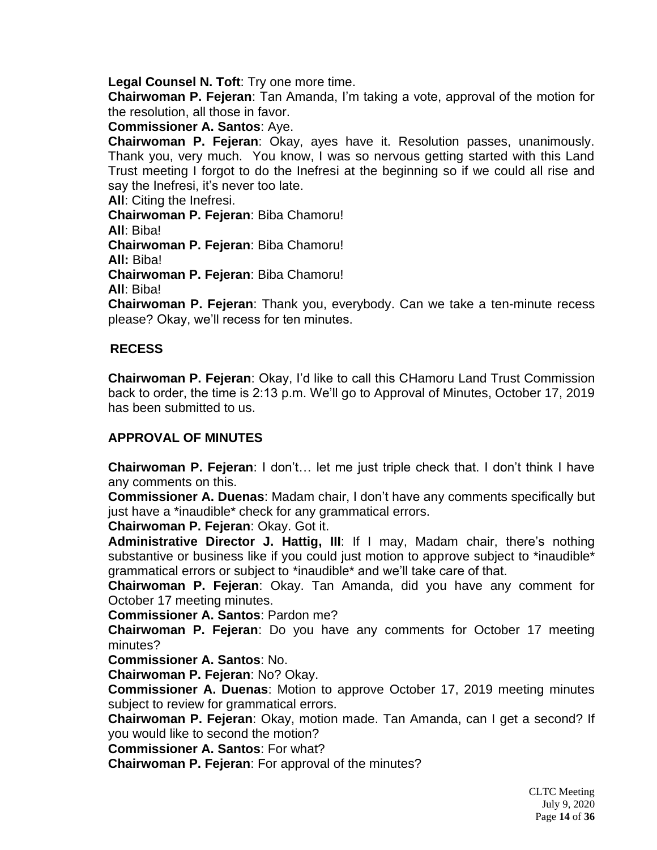**Legal Counsel N. Toft**: Try one more time.

**Chairwoman P. Fejeran**: Tan Amanda, I'm taking a vote, approval of the motion for the resolution, all those in favor.

**Commissioner A. Santos**: Aye.

**Chairwoman P. Fejeran**: Okay, ayes have it. Resolution passes, unanimously. Thank you, very much. You know, I was so nervous getting started with this Land Trust meeting I forgot to do the Inefresi at the beginning so if we could all rise and say the Inefresi, it's never too late.

**All**: Citing the Inefresi.

**Chairwoman P. Fejeran**: Biba Chamoru! **All**: Biba! **Chairwoman P. Fejeran**: Biba Chamoru! **All:** Biba! **Chairwoman P. Fejeran**: Biba Chamoru! **All**: Biba!

**Chairwoman P. Fejeran**: Thank you, everybody. Can we take a ten-minute recess please? Okay, we'll recess for ten minutes.

# **RECESS**

**Chairwoman P. Fejeran**: Okay, I'd like to call this CHamoru Land Trust Commission back to order, the time is 2:13 p.m. We'll go to Approval of Minutes, October 17, 2019 has been submitted to us.

# **APPROVAL OF MINUTES**

**Chairwoman P. Fejeran**: I don't… let me just triple check that. I don't think I have any comments on this.

**Commissioner A. Duenas**: Madam chair, I don't have any comments specifically but just have a \*inaudible\* check for any grammatical errors.

**Chairwoman P. Fejeran**: Okay. Got it.

**Administrative Director J. Hattig, III**: If I may, Madam chair, there's nothing substantive or business like if you could just motion to approve subject to \*inaudible\* grammatical errors or subject to \*inaudible\* and we'll take care of that.

**Chairwoman P. Fejeran**: Okay. Tan Amanda, did you have any comment for October 17 meeting minutes.

**Commissioner A. Santos**: Pardon me?

**Chairwoman P. Fejeran**: Do you have any comments for October 17 meeting minutes?

**Commissioner A. Santos**: No.

**Chairwoman P. Fejeran**: No? Okay.

**Commissioner A. Duenas**: Motion to approve October 17, 2019 meeting minutes subject to review for grammatical errors.

**Chairwoman P. Fejeran**: Okay, motion made. Tan Amanda, can I get a second? If you would like to second the motion?

**Commissioner A. Santos**: For what?

**Chairwoman P. Fejeran**: For approval of the minutes?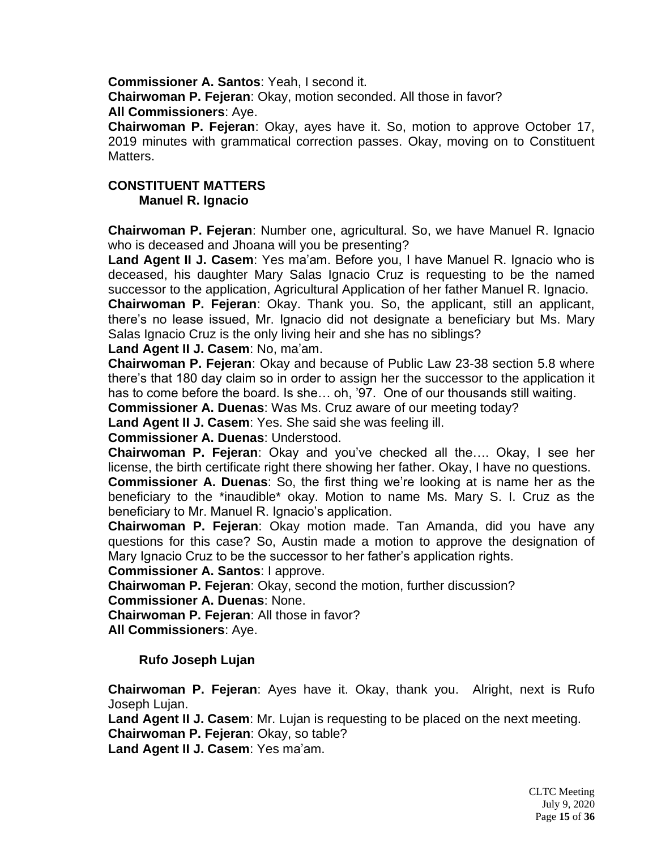**Commissioner A. Santos**: Yeah, I second it.

**Chairwoman P. Fejeran**: Okay, motion seconded. All those in favor? **All Commissioners**: Aye.

**Chairwoman P. Fejeran**: Okay, ayes have it. So, motion to approve October 17, 2019 minutes with grammatical correction passes. Okay, moving on to Constituent Matters.

# **CONSTITUENT MATTERS Manuel R. Ignacio**

**Chairwoman P. Fejeran**: Number one, agricultural. So, we have Manuel R. Ignacio who is deceased and Jhoana will you be presenting?

**Land Agent II J. Casem**: Yes ma'am. Before you, I have Manuel R. Ignacio who is deceased, his daughter Mary Salas Ignacio Cruz is requesting to be the named successor to the application, Agricultural Application of her father Manuel R. Ignacio.

**Chairwoman P. Fejeran**: Okay. Thank you. So, the applicant, still an applicant, there's no lease issued, Mr. Ignacio did not designate a beneficiary but Ms. Mary Salas Ignacio Cruz is the only living heir and she has no siblings?

**Land Agent II J. Casem**: No, ma'am.

**Chairwoman P. Fejeran**: Okay and because of Public Law 23-38 section 5.8 where there's that 180 day claim so in order to assign her the successor to the application it has to come before the board. Is she… oh, '97. One of our thousands still waiting.

**Commissioner A. Duenas**: Was Ms. Cruz aware of our meeting today?

**Land Agent II J. Casem**: Yes. She said she was feeling ill.

**Commissioner A. Duenas**: Understood.

**Chairwoman P. Fejeran**: Okay and you've checked all the…. Okay, I see her license, the birth certificate right there showing her father. Okay, I have no questions. **Commissioner A. Duenas**: So, the first thing we're looking at is name her as the

beneficiary to the \*inaudible\* okay. Motion to name Ms. Mary S. I. Cruz as the beneficiary to Mr. Manuel R. Ignacio's application.

**Chairwoman P. Fejeran**: Okay motion made. Tan Amanda, did you have any questions for this case? So, Austin made a motion to approve the designation of Mary Ignacio Cruz to be the successor to her father's application rights.

**Commissioner A. Santos**: I approve.

**Chairwoman P. Fejeran**: Okay, second the motion, further discussion?

**Commissioner A. Duenas**: None.

**Chairwoman P. Fejeran**: All those in favor?

**All Commissioners**: Aye.

**Rufo Joseph Lujan**

**Chairwoman P. Fejeran**: Ayes have it. Okay, thank you. Alright, next is Rufo Joseph Lujan.

**Land Agent II J. Casem**: Mr. Lujan is requesting to be placed on the next meeting. **Chairwoman P. Fejeran**: Okay, so table?

**Land Agent II J. Casem**: Yes ma'am.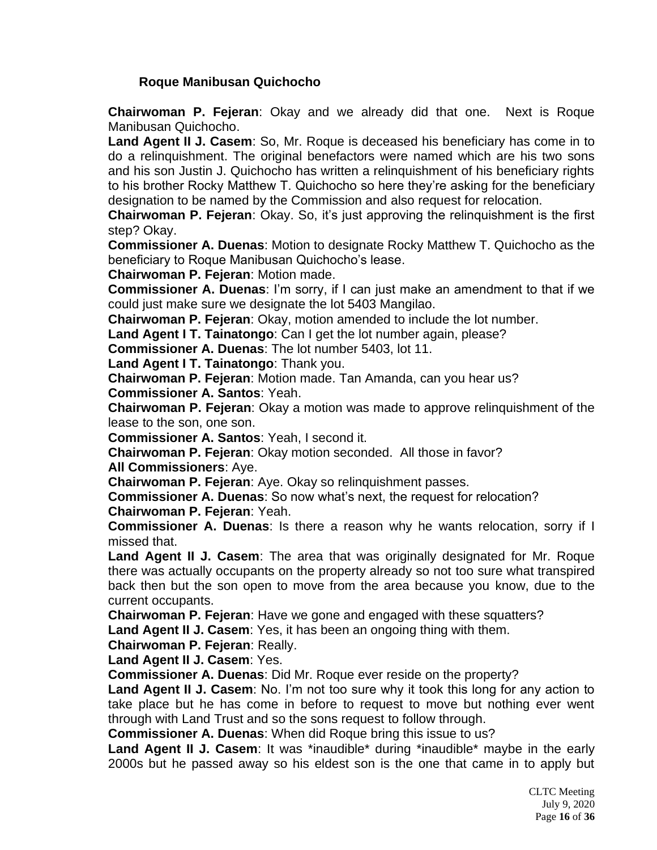# **Roque Manibusan Quichocho**

**Chairwoman P. Fejeran**: Okay and we already did that one. Next is Roque Manibusan Quichocho.

**Land Agent II J. Casem**: So, Mr. Roque is deceased his beneficiary has come in to do a relinquishment. The original benefactors were named which are his two sons and his son Justin J. Quichocho has written a relinquishment of his beneficiary rights to his brother Rocky Matthew T. Quichocho so here they're asking for the beneficiary designation to be named by the Commission and also request for relocation.

**Chairwoman P. Fejeran**: Okay. So, it's just approving the relinquishment is the first step? Okay.

**Commissioner A. Duenas**: Motion to designate Rocky Matthew T. Quichocho as the beneficiary to Roque Manibusan Quichocho's lease.

**Chairwoman P. Fejeran**: Motion made.

**Commissioner A. Duenas**: I'm sorry, if I can just make an amendment to that if we could just make sure we designate the lot 5403 Mangilao.

**Chairwoman P. Fejeran**: Okay, motion amended to include the lot number.

**Land Agent I T. Tainatongo**: Can I get the lot number again, please?

**Commissioner A. Duenas**: The lot number 5403, lot 11.

**Land Agent I T. Tainatongo**: Thank you.

**Chairwoman P. Fejeran**: Motion made. Tan Amanda, can you hear us?

**Commissioner A. Santos**: Yeah.

**Chairwoman P. Fejeran**: Okay a motion was made to approve relinquishment of the lease to the son, one son.

**Commissioner A. Santos**: Yeah, I second it.

**Chairwoman P. Fejeran**: Okay motion seconded. All those in favor? **All Commissioners**: Aye.

**Chairwoman P. Fejeran**: Aye. Okay so relinquishment passes.

**Commissioner A. Duenas**: So now what's next, the request for relocation? **Chairwoman P. Fejeran**: Yeah.

**Commissioner A. Duenas**: Is there a reason why he wants relocation, sorry if I missed that.

**Land Agent II J. Casem**: The area that was originally designated for Mr. Roque there was actually occupants on the property already so not too sure what transpired back then but the son open to move from the area because you know, due to the current occupants.

**Chairwoman P. Fejeran**: Have we gone and engaged with these squatters?

**Land Agent II J. Casem**: Yes, it has been an ongoing thing with them.

**Chairwoman P. Fejeran**: Really.

**Land Agent II J. Casem**: Yes.

**Commissioner A. Duenas**: Did Mr. Roque ever reside on the property?

**Land Agent II J. Casem**: No. I'm not too sure why it took this long for any action to take place but he has come in before to request to move but nothing ever went through with Land Trust and so the sons request to follow through.

**Commissioner A. Duenas**: When did Roque bring this issue to us?

**Land Agent II J. Casem**: It was \*inaudible\* during \*inaudible\* maybe in the early 2000s but he passed away so his eldest son is the one that came in to apply but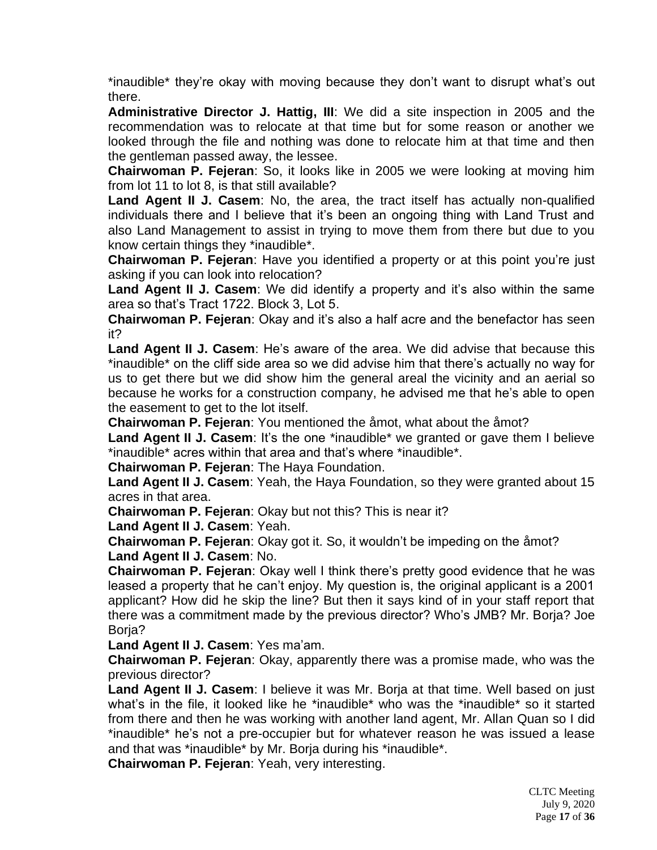\*inaudible\* they're okay with moving because they don't want to disrupt what's out there.

**Administrative Director J. Hattig, III**: We did a site inspection in 2005 and the recommendation was to relocate at that time but for some reason or another we looked through the file and nothing was done to relocate him at that time and then the gentleman passed away, the lessee.

**Chairwoman P. Fejeran**: So, it looks like in 2005 we were looking at moving him from lot 11 to lot 8, is that still available?

**Land Agent II J. Casem**: No, the area, the tract itself has actually non-qualified individuals there and I believe that it's been an ongoing thing with Land Trust and also Land Management to assist in trying to move them from there but due to you know certain things they \*inaudible\*.

**Chairwoman P. Fejeran**: Have you identified a property or at this point you're just asking if you can look into relocation?

**Land Agent II J. Casem**: We did identify a property and it's also within the same area so that's Tract 1722. Block 3, Lot 5.

**Chairwoman P. Fejeran**: Okay and it's also a half acre and the benefactor has seen it?

**Land Agent II J. Casem**: He's aware of the area. We did advise that because this \*inaudible\* on the cliff side area so we did advise him that there's actually no way for us to get there but we did show him the general areal the vicinity and an aerial so because he works for a construction company, he advised me that he's able to open the easement to get to the lot itself.

**Chairwoman P. Fejeran**: You mentioned the åmot, what about the åmot?

Land Agent II J. Casem: It's the one \*inaudible\* we granted or gave them I believe \*inaudible\* acres within that area and that's where \*inaudible\*.

**Chairwoman P. Fejeran**: The Haya Foundation.

**Land Agent II J. Casem**: Yeah, the Haya Foundation, so they were granted about 15 acres in that area.

**Chairwoman P. Fejeran**: Okay but not this? This is near it?

**Land Agent II J. Casem**: Yeah.

**Chairwoman P. Fejeran**: Okay got it. So, it wouldn't be impeding on the åmot? **Land Agent II J. Casem**: No.

**Chairwoman P. Fejeran**: Okay well I think there's pretty good evidence that he was leased a property that he can't enjoy. My question is, the original applicant is a 2001 applicant? How did he skip the line? But then it says kind of in your staff report that there was a commitment made by the previous director? Who's JMB? Mr. Borja? Joe Borja?

**Land Agent II J. Casem**: Yes ma'am.

**Chairwoman P. Fejeran**: Okay, apparently there was a promise made, who was the previous director?

**Land Agent II J. Casem**: I believe it was Mr. Borja at that time. Well based on just what's in the file, it looked like he \*inaudible\* who was the \*inaudible\* so it started from there and then he was working with another land agent, Mr. Allan Quan so I did \*inaudible\* he's not a pre-occupier but for whatever reason he was issued a lease and that was \*inaudible\* by Mr. Borja during his \*inaudible\*.

**Chairwoman P. Fejeran**: Yeah, very interesting.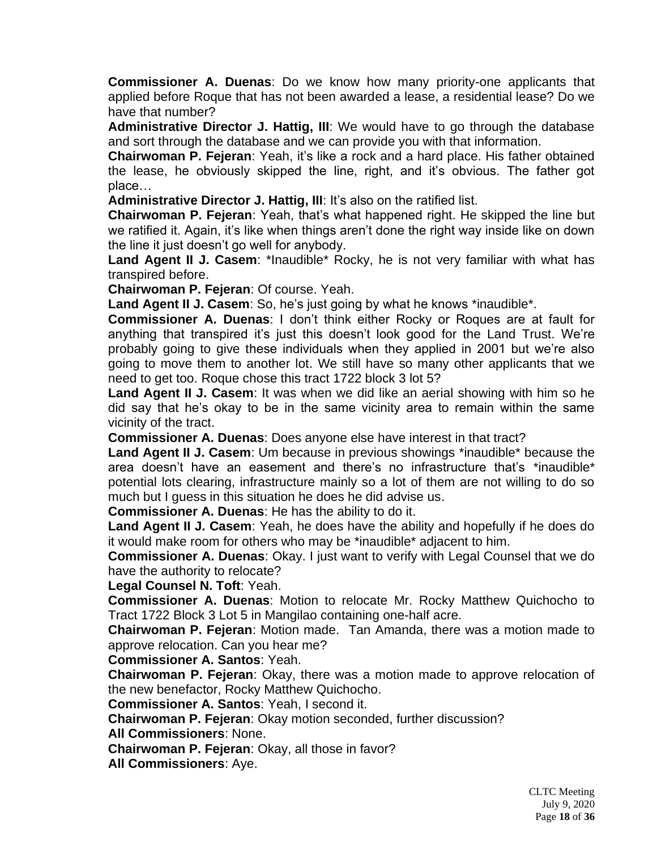**Commissioner A. Duenas**: Do we know how many priority-one applicants that applied before Roque that has not been awarded a lease, a residential lease? Do we have that number?

**Administrative Director J. Hattig, III**: We would have to go through the database and sort through the database and we can provide you with that information.

**Chairwoman P. Fejeran**: Yeah, it's like a rock and a hard place. His father obtained the lease, he obviously skipped the line, right, and it's obvious. The father got place…

**Administrative Director J. Hattig, III: It's also on the ratified list.** 

**Chairwoman P. Fejeran**: Yeah, that's what happened right. He skipped the line but we ratified it. Again, it's like when things aren't done the right way inside like on down the line it just doesn't go well for anybody.

Land Agent II J. Casem: \*Inaudible\* Rocky, he is not very familiar with what has transpired before.

**Chairwoman P. Fejeran**: Of course. Yeah.

**Land Agent II J. Casem**: So, he's just going by what he knows \*inaudible\*.

**Commissioner A. Duenas**: I don't think either Rocky or Roques are at fault for anything that transpired it's just this doesn't look good for the Land Trust. We're probably going to give these individuals when they applied in 2001 but we're also going to move them to another lot. We still have so many other applicants that we need to get too. Roque chose this tract 1722 block 3 lot 5?

**Land Agent II J. Casem**: It was when we did like an aerial showing with him so he did say that he's okay to be in the same vicinity area to remain within the same vicinity of the tract.

**Commissioner A. Duenas**: Does anyone else have interest in that tract?

**Land Agent II J. Casem**: Um because in previous showings \*inaudible\* because the area doesn't have an easement and there's no infrastructure that's \*inaudible\* potential lots clearing, infrastructure mainly so a lot of them are not willing to do so much but I guess in this situation he does he did advise us.

**Commissioner A. Duenas**: He has the ability to do it.

**Land Agent II J. Casem**: Yeah, he does have the ability and hopefully if he does do it would make room for others who may be \*inaudible\* adjacent to him.

**Commissioner A. Duenas**: Okay. I just want to verify with Legal Counsel that we do have the authority to relocate?

**Legal Counsel N. Toft**: Yeah.

**Commissioner A. Duenas**: Motion to relocate Mr. Rocky Matthew Quichocho to Tract 1722 Block 3 Lot 5 in Mangilao containing one-half acre.

**Chairwoman P. Fejeran**: Motion made. Tan Amanda, there was a motion made to approve relocation. Can you hear me?

**Commissioner A. Santos**: Yeah.

**Chairwoman P. Fejeran**: Okay, there was a motion made to approve relocation of the new benefactor, Rocky Matthew Quichocho.

**Commissioner A. Santos**: Yeah, I second it.

**Chairwoman P. Fejeran**: Okay motion seconded, further discussion? **All Commissioners**: None.

**Chairwoman P. Fejeran**: Okay, all those in favor?

**All Commissioners**: Aye.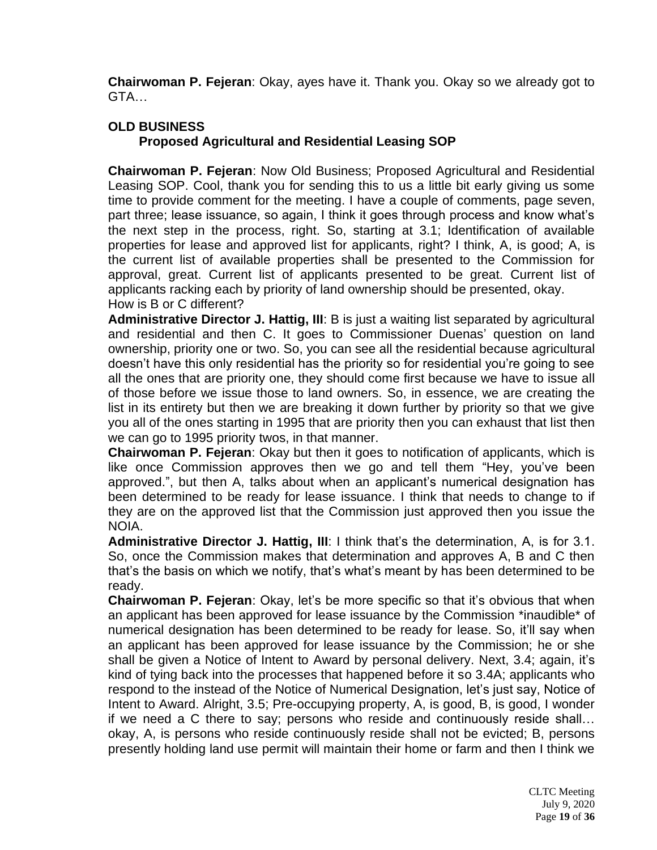**Chairwoman P. Fejeran**: Okay, ayes have it. Thank you. Okay so we already got to GTA…

# **OLD BUSINESS**

# **Proposed Agricultural and Residential Leasing SOP**

**Chairwoman P. Fejeran**: Now Old Business; Proposed Agricultural and Residential Leasing SOP. Cool, thank you for sending this to us a little bit early giving us some time to provide comment for the meeting. I have a couple of comments, page seven, part three; lease issuance, so again, I think it goes through process and know what's the next step in the process, right. So, starting at 3.1; Identification of available properties for lease and approved list for applicants, right? I think, A, is good; A, is the current list of available properties shall be presented to the Commission for approval, great. Current list of applicants presented to be great. Current list of applicants racking each by priority of land ownership should be presented, okay. How is B or C different?

**Administrative Director J. Hattig, III**: B is just a waiting list separated by agricultural and residential and then C. It goes to Commissioner Duenas' question on land ownership, priority one or two. So, you can see all the residential because agricultural doesn't have this only residential has the priority so for residential you're going to see all the ones that are priority one, they should come first because we have to issue all of those before we issue those to land owners. So, in essence, we are creating the list in its entirety but then we are breaking it down further by priority so that we give you all of the ones starting in 1995 that are priority then you can exhaust that list then we can go to 1995 priority twos, in that manner.

**Chairwoman P. Fejeran**: Okay but then it goes to notification of applicants, which is like once Commission approves then we go and tell them "Hey, you've been approved.", but then A, talks about when an applicant's numerical designation has been determined to be ready for lease issuance. I think that needs to change to if they are on the approved list that the Commission just approved then you issue the NOIA.

**Administrative Director J. Hattig, III**: I think that's the determination, A, is for 3.1. So, once the Commission makes that determination and approves A, B and C then that's the basis on which we notify, that's what's meant by has been determined to be ready.

**Chairwoman P. Fejeran**: Okay, let's be more specific so that it's obvious that when an applicant has been approved for lease issuance by the Commission \*inaudible\* of numerical designation has been determined to be ready for lease. So, it'll say when an applicant has been approved for lease issuance by the Commission; he or she shall be given a Notice of Intent to Award by personal delivery. Next, 3.4; again, it's kind of tying back into the processes that happened before it so 3.4A; applicants who respond to the instead of the Notice of Numerical Designation, let's just say, Notice of Intent to Award. Alright, 3.5; Pre-occupying property, A, is good, B, is good, I wonder if we need a C there to say; persons who reside and continuously reside shall… okay, A, is persons who reside continuously reside shall not be evicted; B, persons presently holding land use permit will maintain their home or farm and then I think we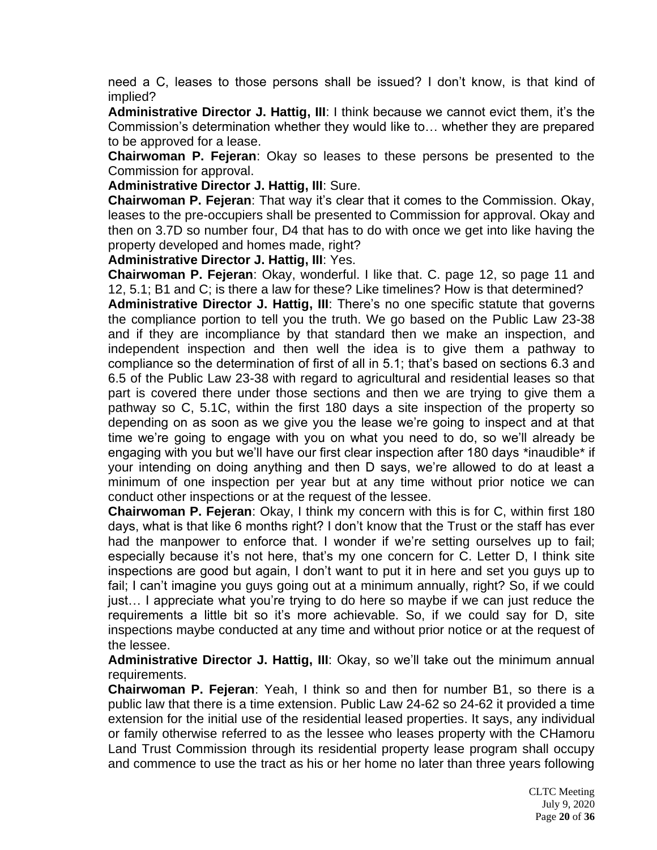need a C, leases to those persons shall be issued? I don't know, is that kind of implied?

**Administrative Director J. Hattig, III**: I think because we cannot evict them, it's the Commission's determination whether they would like to… whether they are prepared to be approved for a lease.

**Chairwoman P. Fejeran**: Okay so leases to these persons be presented to the Commission for approval.

**Administrative Director J. Hattig, III**: Sure.

**Chairwoman P. Fejeran**: That way it's clear that it comes to the Commission. Okay, leases to the pre-occupiers shall be presented to Commission for approval. Okay and then on 3.7D so number four, D4 that has to do with once we get into like having the property developed and homes made, right?

**Administrative Director J. Hattig, III**: Yes.

**Chairwoman P. Fejeran**: Okay, wonderful. I like that. C. page 12, so page 11 and 12, 5.1; B1 and C; is there a law for these? Like timelines? How is that determined?

**Administrative Director J. Hattig, III**: There's no one specific statute that governs the compliance portion to tell you the truth. We go based on the Public Law 23-38 and if they are incompliance by that standard then we make an inspection, and independent inspection and then well the idea is to give them a pathway to compliance so the determination of first of all in 5.1; that's based on sections 6.3 and 6.5 of the Public Law 23-38 with regard to agricultural and residential leases so that part is covered there under those sections and then we are trying to give them a pathway so C, 5.1C, within the first 180 days a site inspection of the property so depending on as soon as we give you the lease we're going to inspect and at that time we're going to engage with you on what you need to do, so we'll already be engaging with you but we'll have our first clear inspection after 180 days \*inaudible\* if your intending on doing anything and then D says, we're allowed to do at least a minimum of one inspection per year but at any time without prior notice we can conduct other inspections or at the request of the lessee.

**Chairwoman P. Fejeran**: Okay, I think my concern with this is for C, within first 180 days, what is that like 6 months right? I don't know that the Trust or the staff has ever had the manpower to enforce that. I wonder if we're setting ourselves up to fail; especially because it's not here, that's my one concern for C. Letter D, I think site inspections are good but again, I don't want to put it in here and set you guys up to fail; I can't imagine you guys going out at a minimum annually, right? So, if we could just… I appreciate what you're trying to do here so maybe if we can just reduce the requirements a little bit so it's more achievable. So, if we could say for D, site inspections maybe conducted at any time and without prior notice or at the request of the lessee.

**Administrative Director J. Hattig, III**: Okay, so we'll take out the minimum annual requirements.

**Chairwoman P. Fejeran**: Yeah, I think so and then for number B1, so there is a public law that there is a time extension. Public Law 24-62 so 24-62 it provided a time extension for the initial use of the residential leased properties. It says, any individual or family otherwise referred to as the lessee who leases property with the CHamoru Land Trust Commission through its residential property lease program shall occupy and commence to use the tract as his or her home no later than three years following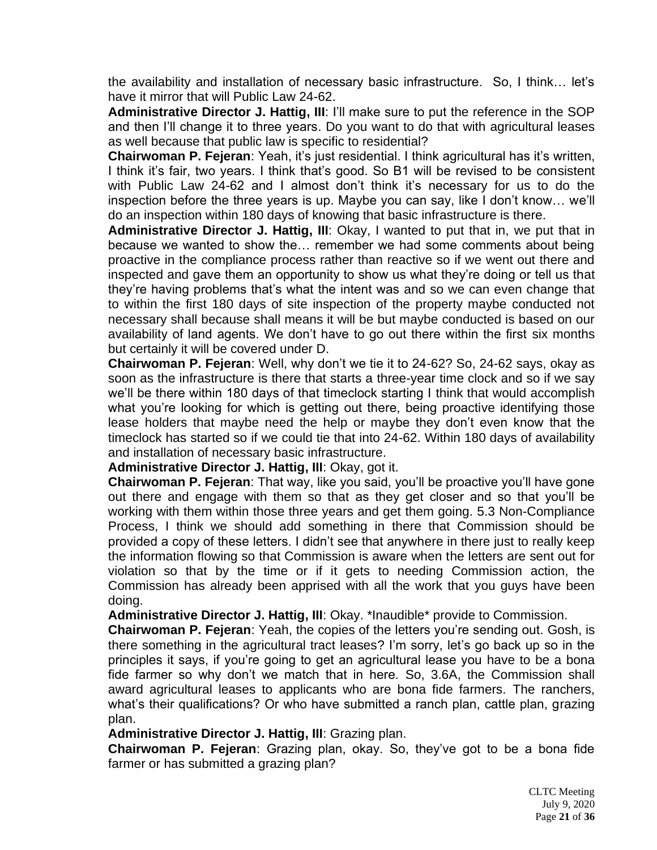the availability and installation of necessary basic infrastructure. So, I think… let's have it mirror that will Public Law 24-62.

**Administrative Director J. Hattig, III**: I'll make sure to put the reference in the SOP and then I'll change it to three years. Do you want to do that with agricultural leases as well because that public law is specific to residential?

**Chairwoman P. Fejeran**: Yeah, it's just residential. I think agricultural has it's written, I think it's fair, two years. I think that's good. So B1 will be revised to be consistent with Public Law 24-62 and I almost don't think it's necessary for us to do the inspection before the three years is up. Maybe you can say, like I don't know… we'll do an inspection within 180 days of knowing that basic infrastructure is there.

**Administrative Director J. Hattig, III**: Okay, I wanted to put that in, we put that in because we wanted to show the… remember we had some comments about being proactive in the compliance process rather than reactive so if we went out there and inspected and gave them an opportunity to show us what they're doing or tell us that they're having problems that's what the intent was and so we can even change that to within the first 180 days of site inspection of the property maybe conducted not necessary shall because shall means it will be but maybe conducted is based on our availability of land agents. We don't have to go out there within the first six months but certainly it will be covered under D.

**Chairwoman P. Fejeran**: Well, why don't we tie it to 24-62? So, 24-62 says, okay as soon as the infrastructure is there that starts a three-year time clock and so if we say we'll be there within 180 days of that timeclock starting I think that would accomplish what you're looking for which is getting out there, being proactive identifying those lease holders that maybe need the help or maybe they don't even know that the timeclock has started so if we could tie that into 24-62. Within 180 days of availability and installation of necessary basic infrastructure.

**Administrative Director J. Hattig, III**: Okay, got it.

**Chairwoman P. Fejeran**: That way, like you said, you'll be proactive you'll have gone out there and engage with them so that as they get closer and so that you'll be working with them within those three years and get them going. 5.3 Non-Compliance Process, I think we should add something in there that Commission should be provided a copy of these letters. I didn't see that anywhere in there just to really keep the information flowing so that Commission is aware when the letters are sent out for violation so that by the time or if it gets to needing Commission action, the Commission has already been apprised with all the work that you guys have been doing.

**Administrative Director J. Hattig, III**: Okay. \*Inaudible\* provide to Commission.

**Chairwoman P. Fejeran**: Yeah, the copies of the letters you're sending out. Gosh, is there something in the agricultural tract leases? I'm sorry, let's go back up so in the principles it says, if you're going to get an agricultural lease you have to be a bona fide farmer so why don't we match that in here. So, 3.6A, the Commission shall award agricultural leases to applicants who are bona fide farmers. The ranchers, what's their qualifications? Or who have submitted a ranch plan, cattle plan, grazing plan.

**Administrative Director J. Hattig, III**: Grazing plan.

**Chairwoman P. Fejeran**: Grazing plan, okay. So, they've got to be a bona fide farmer or has submitted a grazing plan?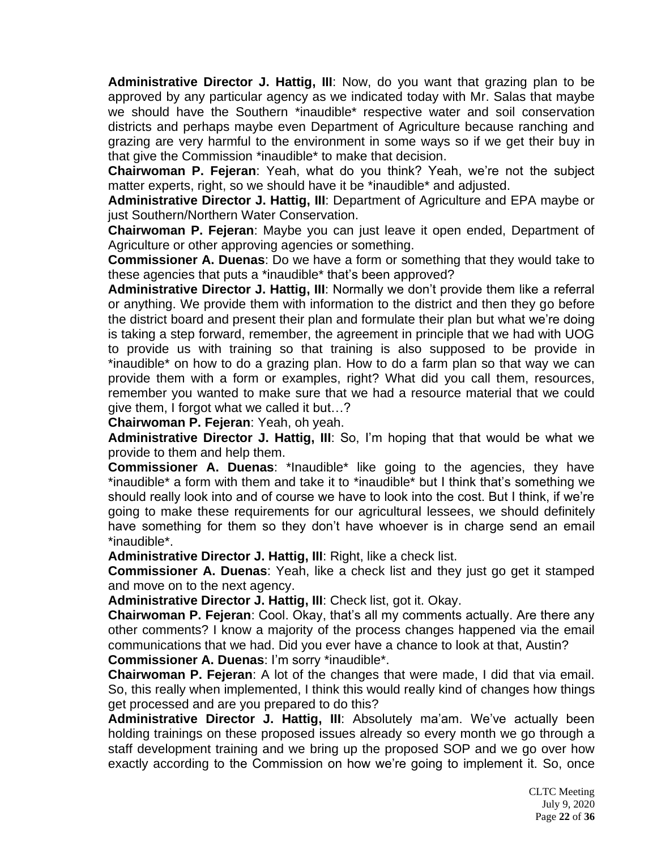**Administrative Director J. Hattig, III**: Now, do you want that grazing plan to be approved by any particular agency as we indicated today with Mr. Salas that maybe we should have the Southern \*inaudible\* respective water and soil conservation districts and perhaps maybe even Department of Agriculture because ranching and grazing are very harmful to the environment in some ways so if we get their buy in that give the Commission \*inaudible\* to make that decision.

**Chairwoman P. Fejeran**: Yeah, what do you think? Yeah, we're not the subject matter experts, right, so we should have it be \*inaudible\* and adjusted.

**Administrative Director J. Hattig, III**: Department of Agriculture and EPA maybe or just Southern/Northern Water Conservation.

**Chairwoman P. Fejeran**: Maybe you can just leave it open ended, Department of Agriculture or other approving agencies or something.

**Commissioner A. Duenas**: Do we have a form or something that they would take to these agencies that puts a \*inaudible\* that's been approved?

**Administrative Director J. Hattig, III**: Normally we don't provide them like a referral or anything. We provide them with information to the district and then they go before the district board and present their plan and formulate their plan but what we're doing is taking a step forward, remember, the agreement in principle that we had with UOG to provide us with training so that training is also supposed to be provide in \*inaudible\* on how to do a grazing plan. How to do a farm plan so that way we can provide them with a form or examples, right? What did you call them, resources, remember you wanted to make sure that we had a resource material that we could give them, I forgot what we called it but…?

**Chairwoman P. Fejeran**: Yeah, oh yeah.

**Administrative Director J. Hattig, III**: So, I'm hoping that that would be what we provide to them and help them.

**Commissioner A. Duenas**: \*Inaudible\* like going to the agencies, they have \*inaudible\* a form with them and take it to \*inaudible\* but I think that's something we should really look into and of course we have to look into the cost. But I think, if we're going to make these requirements for our agricultural lessees, we should definitely have something for them so they don't have whoever is in charge send an email \*inaudible\*.

**Administrative Director J. Hattig, III**: Right, like a check list.

**Commissioner A. Duenas**: Yeah, like a check list and they just go get it stamped and move on to the next agency.

**Administrative Director J. Hattig, III**: Check list, got it. Okay.

**Chairwoman P. Fejeran**: Cool. Okay, that's all my comments actually. Are there any other comments? I know a majority of the process changes happened via the email communications that we had. Did you ever have a chance to look at that, Austin?

**Commissioner A. Duenas**: I'm sorry \*inaudible\*.

**Chairwoman P. Fejeran**: A lot of the changes that were made, I did that via email. So, this really when implemented, I think this would really kind of changes how things get processed and are you prepared to do this?

**Administrative Director J. Hattig, III**: Absolutely ma'am. We've actually been holding trainings on these proposed issues already so every month we go through a staff development training and we bring up the proposed SOP and we go over how exactly according to the Commission on how we're going to implement it. So, once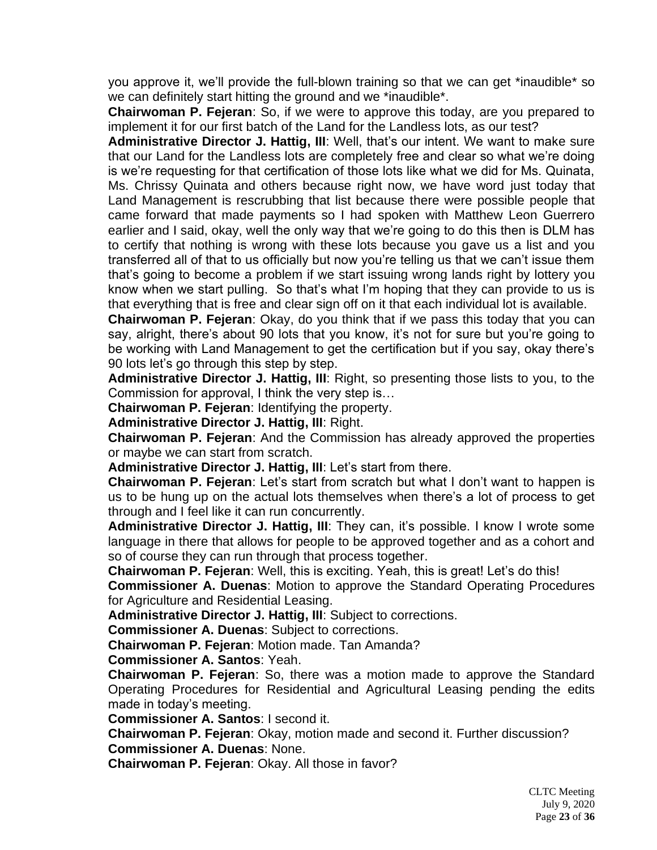you approve it, we'll provide the full-blown training so that we can get \*inaudible\* so we can definitely start hitting the ground and we \*inaudible\*.

**Chairwoman P. Fejeran**: So, if we were to approve this today, are you prepared to implement it for our first batch of the Land for the Landless lots, as our test?

**Administrative Director J. Hattig, III**: Well, that's our intent. We want to make sure that our Land for the Landless lots are completely free and clear so what we're doing is we're requesting for that certification of those lots like what we did for Ms. Quinata, Ms. Chrissy Quinata and others because right now, we have word just today that Land Management is rescrubbing that list because there were possible people that came forward that made payments so I had spoken with Matthew Leon Guerrero earlier and I said, okay, well the only way that we're going to do this then is DLM has to certify that nothing is wrong with these lots because you gave us a list and you transferred all of that to us officially but now you're telling us that we can't issue them that's going to become a problem if we start issuing wrong lands right by lottery you know when we start pulling. So that's what I'm hoping that they can provide to us is that everything that is free and clear sign off on it that each individual lot is available.

**Chairwoman P. Fejeran**: Okay, do you think that if we pass this today that you can say, alright, there's about 90 lots that you know, it's not for sure but you're going to be working with Land Management to get the certification but if you say, okay there's 90 lots let's go through this step by step.

**Administrative Director J. Hattig, III**: Right, so presenting those lists to you, to the Commission for approval, I think the very step is…

**Chairwoman P. Fejeran**: Identifying the property.

**Administrative Director J. Hattig, III**: Right.

**Chairwoman P. Fejeran**: And the Commission has already approved the properties or maybe we can start from scratch.

**Administrative Director J. Hattig, III**: Let's start from there.

**Chairwoman P. Fejeran**: Let's start from scratch but what I don't want to happen is us to be hung up on the actual lots themselves when there's a lot of process to get through and I feel like it can run concurrently.

**Administrative Director J. Hattig, III**: They can, it's possible. I know I wrote some language in there that allows for people to be approved together and as a cohort and so of course they can run through that process together.

**Chairwoman P. Fejeran**: Well, this is exciting. Yeah, this is great! Let's do this!

**Commissioner A. Duenas**: Motion to approve the Standard Operating Procedures for Agriculture and Residential Leasing.

**Administrative Director J. Hattig, III**: Subject to corrections.

**Commissioner A. Duenas**: Subject to corrections.

**Chairwoman P. Fejeran**: Motion made. Tan Amanda?

**Commissioner A. Santos**: Yeah.

**Chairwoman P. Fejeran**: So, there was a motion made to approve the Standard Operating Procedures for Residential and Agricultural Leasing pending the edits made in today's meeting.

**Commissioner A. Santos**: I second it.

**Chairwoman P. Fejeran**: Okay, motion made and second it. Further discussion? **Commissioner A. Duenas**: None.

**Chairwoman P. Fejeran**: Okay. All those in favor?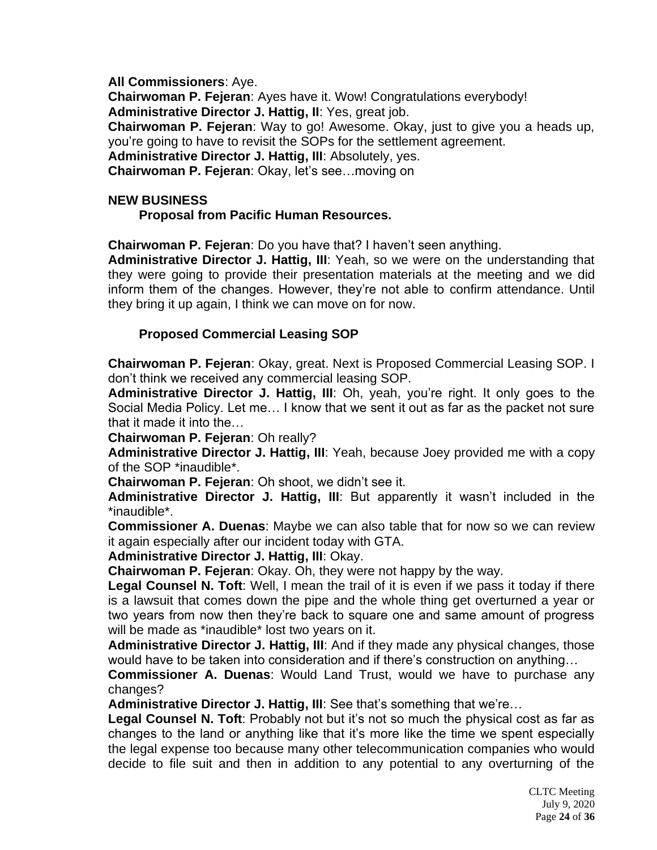**All Commissioners**: Aye. **Chairwoman P. Fejeran**: Ayes have it. Wow! Congratulations everybody! **Administrative Director J. Hattig, II**: Yes, great job. **Chairwoman P. Fejeran**: Way to go! Awesome. Okay, just to give you a heads up, you're going to have to revisit the SOPs for the settlement agreement. **Administrative Director J. Hattig, III**: Absolutely, yes.

**Chairwoman P. Fejeran**: Okay, let's see…moving on

# **NEW BUSINESS**

# **Proposal from Pacific Human Resources.**

**Chairwoman P. Fejeran**: Do you have that? I haven't seen anything.

**Administrative Director J. Hattig, III**: Yeah, so we were on the understanding that they were going to provide their presentation materials at the meeting and we did inform them of the changes. However, they're not able to confirm attendance. Until they bring it up again, I think we can move on for now.

# **Proposed Commercial Leasing SOP**

**Chairwoman P. Fejeran**: Okay, great. Next is Proposed Commercial Leasing SOP. I don't think we received any commercial leasing SOP.

**Administrative Director J. Hattig, III**: Oh, yeah, you're right. It only goes to the Social Media Policy. Let me… I know that we sent it out as far as the packet not sure that it made it into the…

**Chairwoman P. Fejeran**: Oh really?

**Administrative Director J. Hattig, III**: Yeah, because Joey provided me with a copy of the SOP \*inaudible\*.

**Chairwoman P. Fejeran**: Oh shoot, we didn't see it.

**Administrative Director J. Hattig, III**: But apparently it wasn't included in the \*inaudible\*.

**Commissioner A. Duenas**: Maybe we can also table that for now so we can review it again especially after our incident today with GTA.

**Administrative Director J. Hattig, III**: Okay.

**Chairwoman P. Fejeran**: Okay. Oh, they were not happy by the way.

**Legal Counsel N. Toft**: Well, I mean the trail of it is even if we pass it today if there is a lawsuit that comes down the pipe and the whole thing get overturned a year or two years from now then they're back to square one and same amount of progress will be made as \*inaudible\* lost two years on it.

**Administrative Director J. Hattig, III**: And if they made any physical changes, those would have to be taken into consideration and if there's construction on anything…

**Commissioner A. Duenas**: Would Land Trust, would we have to purchase any changes?

**Administrative Director J. Hattig, III: See that's something that we're...** 

**Legal Counsel N. Toft**: Probably not but it's not so much the physical cost as far as changes to the land or anything like that it's more like the time we spent especially the legal expense too because many other telecommunication companies who would decide to file suit and then in addition to any potential to any overturning of the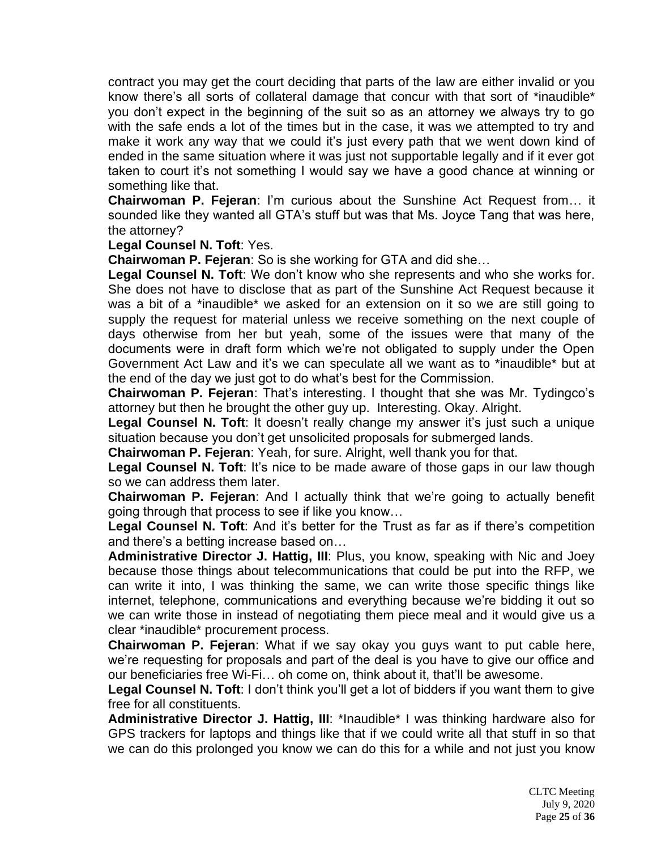contract you may get the court deciding that parts of the law are either invalid or you know there's all sorts of collateral damage that concur with that sort of \*inaudible\* you don't expect in the beginning of the suit so as an attorney we always try to go with the safe ends a lot of the times but in the case, it was we attempted to try and make it work any way that we could it's just every path that we went down kind of ended in the same situation where it was just not supportable legally and if it ever got taken to court it's not something I would say we have a good chance at winning or something like that.

**Chairwoman P. Fejeran**: I'm curious about the Sunshine Act Request from… it sounded like they wanted all GTA's stuff but was that Ms. Joyce Tang that was here, the attorney?

#### **Legal Counsel N. Toft**: Yes.

**Chairwoman P. Fejeran**: So is she working for GTA and did she…

**Legal Counsel N. Toft**: We don't know who she represents and who she works for. She does not have to disclose that as part of the Sunshine Act Request because it was a bit of a \*inaudible\* we asked for an extension on it so we are still going to supply the request for material unless we receive something on the next couple of days otherwise from her but yeah, some of the issues were that many of the documents were in draft form which we're not obligated to supply under the Open Government Act Law and it's we can speculate all we want as to \*inaudible\* but at the end of the day we just got to do what's best for the Commission.

**Chairwoman P. Fejeran**: That's interesting. I thought that she was Mr. Tydingco's attorney but then he brought the other guy up. Interesting. Okay. Alright.

**Legal Counsel N. Toft**: It doesn't really change my answer it's just such a unique situation because you don't get unsolicited proposals for submerged lands.

**Chairwoman P. Fejeran**: Yeah, for sure. Alright, well thank you for that.

Legal Counsel N. Toft: It's nice to be made aware of those gaps in our law though so we can address them later.

**Chairwoman P. Fejeran**: And I actually think that we're going to actually benefit going through that process to see if like you know…

Legal Counsel N. Toft: And it's better for the Trust as far as if there's competition and there's a betting increase based on…

**Administrative Director J. Hattig, III**: Plus, you know, speaking with Nic and Joey because those things about telecommunications that could be put into the RFP, we can write it into, I was thinking the same, we can write those specific things like internet, telephone, communications and everything because we're bidding it out so we can write those in instead of negotiating them piece meal and it would give us a clear \*inaudible\* procurement process.

**Chairwoman P. Fejeran**: What if we say okay you guys want to put cable here, we're requesting for proposals and part of the deal is you have to give our office and our beneficiaries free Wi-Fi… oh come on, think about it, that'll be awesome.

**Legal Counsel N. Toft**: I don't think you'll get a lot of bidders if you want them to give free for all constituents.

**Administrative Director J. Hattig, III**: \*Inaudible\* I was thinking hardware also for GPS trackers for laptops and things like that if we could write all that stuff in so that we can do this prolonged you know we can do this for a while and not just you know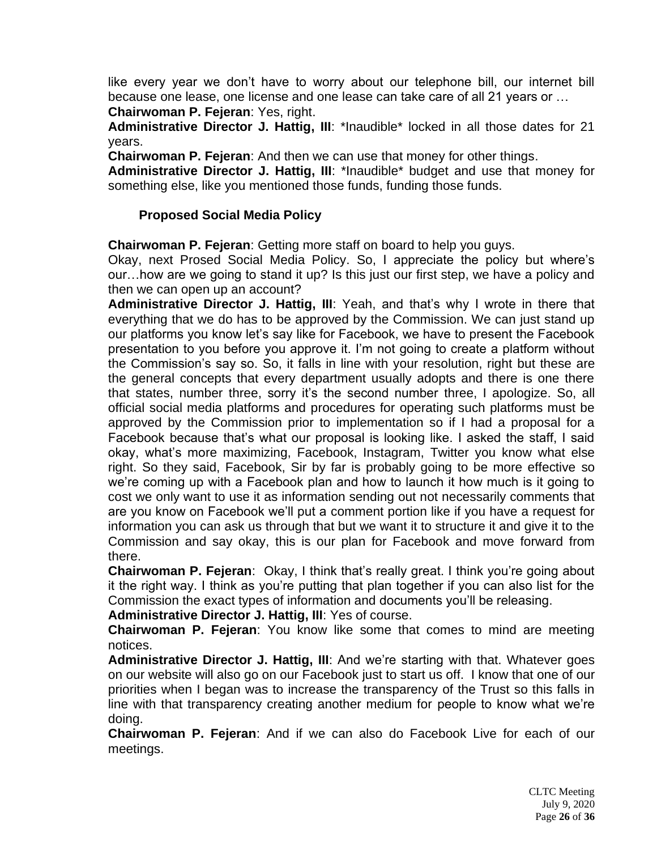like every year we don't have to worry about our telephone bill, our internet bill because one lease, one license and one lease can take care of all 21 years or …

**Chairwoman P. Fejeran**: Yes, right.

**Administrative Director J. Hattig, III**: \*Inaudible\* locked in all those dates for 21 years.

**Chairwoman P. Fejeran**: And then we can use that money for other things.

**Administrative Director J. Hattig, III**: \*Inaudible\* budget and use that money for something else, like you mentioned those funds, funding those funds.

#### **Proposed Social Media Policy**

**Chairwoman P. Fejeran**: Getting more staff on board to help you guys.

Okay, next Prosed Social Media Policy. So, I appreciate the policy but where's our…how are we going to stand it up? Is this just our first step, we have a policy and then we can open up an account?

**Administrative Director J. Hattig, III**: Yeah, and that's why I wrote in there that everything that we do has to be approved by the Commission. We can just stand up our platforms you know let's say like for Facebook, we have to present the Facebook presentation to you before you approve it. I'm not going to create a platform without the Commission's say so. So, it falls in line with your resolution, right but these are the general concepts that every department usually adopts and there is one there that states, number three, sorry it's the second number three, I apologize. So, all official social media platforms and procedures for operating such platforms must be approved by the Commission prior to implementation so if I had a proposal for a Facebook because that's what our proposal is looking like. I asked the staff, I said okay, what's more maximizing, Facebook, Instagram, Twitter you know what else right. So they said, Facebook, Sir by far is probably going to be more effective so we're coming up with a Facebook plan and how to launch it how much is it going to cost we only want to use it as information sending out not necessarily comments that are you know on Facebook we'll put a comment portion like if you have a request for information you can ask us through that but we want it to structure it and give it to the Commission and say okay, this is our plan for Facebook and move forward from there.

**Chairwoman P. Fejeran**: Okay, I think that's really great. I think you're going about it the right way. I think as you're putting that plan together if you can also list for the Commission the exact types of information and documents you'll be releasing.

**Administrative Director J. Hattig, III**: Yes of course.

**Chairwoman P. Fejeran**: You know like some that comes to mind are meeting notices.

**Administrative Director J. Hattig, III**: And we're starting with that. Whatever goes on our website will also go on our Facebook just to start us off. I know that one of our priorities when I began was to increase the transparency of the Trust so this falls in line with that transparency creating another medium for people to know what we're doing.

**Chairwoman P. Fejeran**: And if we can also do Facebook Live for each of our meetings.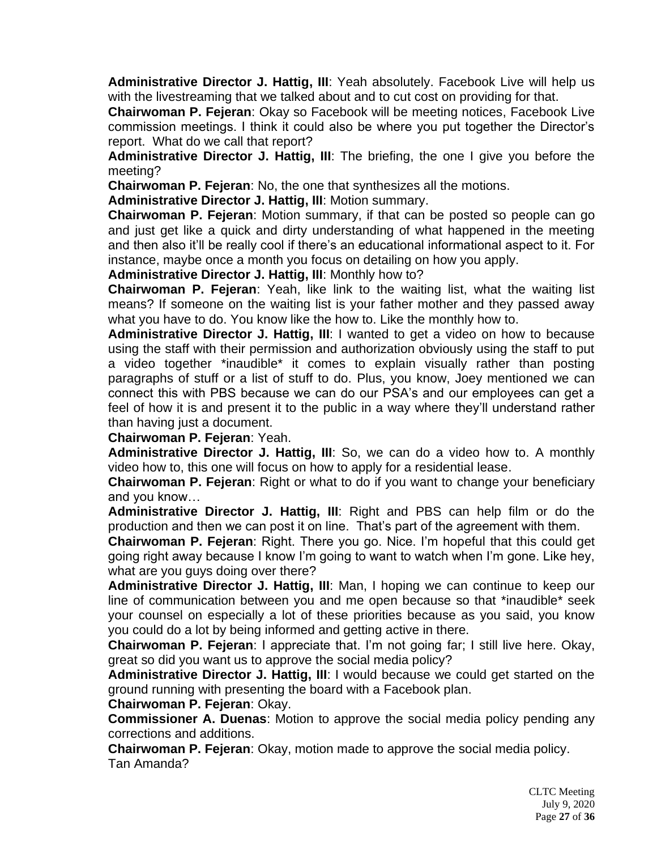**Administrative Director J. Hattig, III**: Yeah absolutely. Facebook Live will help us with the livestreaming that we talked about and to cut cost on providing for that.

**Chairwoman P. Fejeran**: Okay so Facebook will be meeting notices, Facebook Live commission meetings. I think it could also be where you put together the Director's report. What do we call that report?

**Administrative Director J. Hattig, III**: The briefing, the one I give you before the meeting?

**Chairwoman P. Fejeran**: No, the one that synthesizes all the motions.

**Administrative Director J. Hattig, III**: Motion summary.

**Chairwoman P. Fejeran**: Motion summary, if that can be posted so people can go and just get like a quick and dirty understanding of what happened in the meeting and then also it'll be really cool if there's an educational informational aspect to it. For instance, maybe once a month you focus on detailing on how you apply.

**Administrative Director J. Hattig, III**: Monthly how to?

**Chairwoman P. Fejeran**: Yeah, like link to the waiting list, what the waiting list means? If someone on the waiting list is your father mother and they passed away what you have to do. You know like the how to. Like the monthly how to.

**Administrative Director J. Hattig, III**: I wanted to get a video on how to because using the staff with their permission and authorization obviously using the staff to put a video together \*inaudible\* it comes to explain visually rather than posting paragraphs of stuff or a list of stuff to do. Plus, you know, Joey mentioned we can connect this with PBS because we can do our PSA's and our employees can get a feel of how it is and present it to the public in a way where they'll understand rather than having just a document.

**Chairwoman P. Fejeran**: Yeah.

**Administrative Director J. Hattig, III**: So, we can do a video how to. A monthly video how to, this one will focus on how to apply for a residential lease.

**Chairwoman P. Fejeran**: Right or what to do if you want to change your beneficiary and you know…

**Administrative Director J. Hattig, III**: Right and PBS can help film or do the production and then we can post it on line. That's part of the agreement with them.

**Chairwoman P. Fejeran**: Right. There you go. Nice. I'm hopeful that this could get going right away because I know I'm going to want to watch when I'm gone. Like hey, what are you guys doing over there?

**Administrative Director J. Hattig, III**: Man, I hoping we can continue to keep our line of communication between you and me open because so that \*inaudible\* seek your counsel on especially a lot of these priorities because as you said, you know you could do a lot by being informed and getting active in there.

**Chairwoman P. Fejeran**: I appreciate that. I'm not going far; I still live here. Okay, great so did you want us to approve the social media policy?

**Administrative Director J. Hattig, III**: I would because we could get started on the ground running with presenting the board with a Facebook plan.

**Chairwoman P. Fejeran**: Okay.

**Commissioner A. Duenas**: Motion to approve the social media policy pending any corrections and additions.

**Chairwoman P. Fejeran**: Okay, motion made to approve the social media policy. Tan Amanda?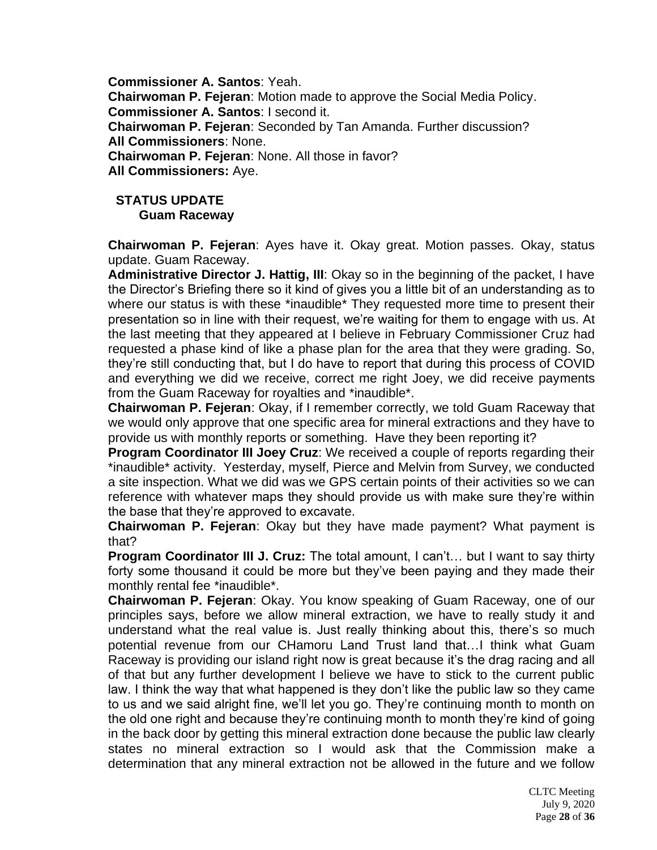**Commissioner A. Santos**: Yeah. **Chairwoman P. Fejeran**: Motion made to approve the Social Media Policy. **Commissioner A. Santos**: I second it. **Chairwoman P. Fejeran**: Seconded by Tan Amanda. Further discussion? **All Commissioners**: None. **Chairwoman P. Fejeran**: None. All those in favor? **All Commissioners:** Aye.

# **STATUS UPDATE Guam Raceway**

**Chairwoman P. Fejeran**: Ayes have it. Okay great. Motion passes. Okay, status update. Guam Raceway.

**Administrative Director J. Hattig, III**: Okay so in the beginning of the packet, I have the Director's Briefing there so it kind of gives you a little bit of an understanding as to where our status is with these \*inaudible\* They requested more time to present their presentation so in line with their request, we're waiting for them to engage with us. At the last meeting that they appeared at I believe in February Commissioner Cruz had requested a phase kind of like a phase plan for the area that they were grading. So, they're still conducting that, but I do have to report that during this process of COVID and everything we did we receive, correct me right Joey, we did receive payments from the Guam Raceway for royalties and \*inaudible\*.

**Chairwoman P. Fejeran**: Okay, if I remember correctly, we told Guam Raceway that we would only approve that one specific area for mineral extractions and they have to provide us with monthly reports or something. Have they been reporting it?

**Program Coordinator III Joey Cruz**: We received a couple of reports regarding their \*inaudible\* activity. Yesterday, myself, Pierce and Melvin from Survey, we conducted a site inspection. What we did was we GPS certain points of their activities so we can reference with whatever maps they should provide us with make sure they're within the base that they're approved to excavate.

**Chairwoman P. Fejeran**: Okay but they have made payment? What payment is that?

**Program Coordinator III J. Cruz:** The total amount, I can't… but I want to say thirty forty some thousand it could be more but they've been paying and they made their monthly rental fee \*inaudible\*.

**Chairwoman P. Fejeran**: Okay. You know speaking of Guam Raceway, one of our principles says, before we allow mineral extraction, we have to really study it and understand what the real value is. Just really thinking about this, there's so much potential revenue from our CHamoru Land Trust land that…I think what Guam Raceway is providing our island right now is great because it's the drag racing and all of that but any further development I believe we have to stick to the current public law. I think the way that what happened is they don't like the public law so they came to us and we said alright fine, we'll let you go. They're continuing month to month on the old one right and because they're continuing month to month they're kind of going in the back door by getting this mineral extraction done because the public law clearly states no mineral extraction so I would ask that the Commission make a determination that any mineral extraction not be allowed in the future and we follow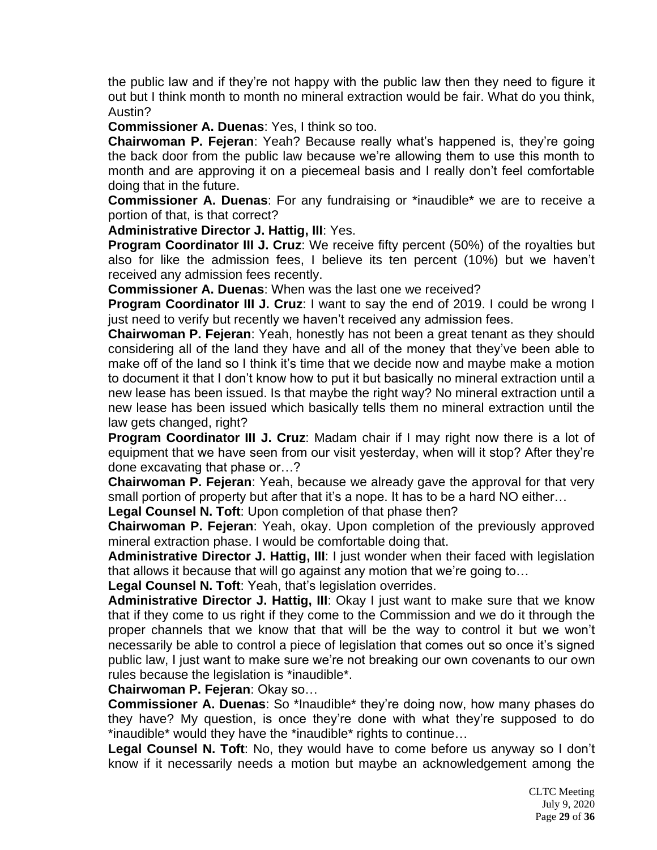the public law and if they're not happy with the public law then they need to figure it out but I think month to month no mineral extraction would be fair. What do you think, Austin?

**Commissioner A. Duenas**: Yes, I think so too.

**Chairwoman P. Fejeran**: Yeah? Because really what's happened is, they're going the back door from the public law because we're allowing them to use this month to month and are approving it on a piecemeal basis and I really don't feel comfortable doing that in the future.

**Commissioner A. Duenas**: For any fundraising or \*inaudible\* we are to receive a portion of that, is that correct?

**Administrative Director J. Hattig, III**: Yes.

**Program Coordinator III J. Cruz**: We receive fifty percent (50%) of the royalties but also for like the admission fees, I believe its ten percent (10%) but we haven't received any admission fees recently.

**Commissioner A. Duenas**: When was the last one we received?

**Program Coordinator III J. Cruz**: I want to say the end of 2019. I could be wrong I just need to verify but recently we haven't received any admission fees.

**Chairwoman P. Fejeran**: Yeah, honestly has not been a great tenant as they should considering all of the land they have and all of the money that they've been able to make off of the land so I think it's time that we decide now and maybe make a motion to document it that I don't know how to put it but basically no mineral extraction until a new lease has been issued. Is that maybe the right way? No mineral extraction until a new lease has been issued which basically tells them no mineral extraction until the law gets changed, right?

**Program Coordinator III J. Cruz**: Madam chair if I may right now there is a lot of equipment that we have seen from our visit yesterday, when will it stop? After they're done excavating that phase or…?

**Chairwoman P. Fejeran**: Yeah, because we already gave the approval for that very small portion of property but after that it's a nope. It has to be a hard NO either…

**Legal Counsel N. Toft**: Upon completion of that phase then?

**Chairwoman P. Fejeran**: Yeah, okay. Upon completion of the previously approved mineral extraction phase. I would be comfortable doing that.

**Administrative Director J. Hattig, III**: I just wonder when their faced with legislation that allows it because that will go against any motion that we're going to…

**Legal Counsel N. Toft**: Yeah, that's legislation overrides.

**Administrative Director J. Hattig, III**: Okay I just want to make sure that we know that if they come to us right if they come to the Commission and we do it through the proper channels that we know that that will be the way to control it but we won't necessarily be able to control a piece of legislation that comes out so once it's signed public law, I just want to make sure we're not breaking our own covenants to our own rules because the legislation is \*inaudible\*.

**Chairwoman P. Fejeran**: Okay so…

**Commissioner A. Duenas**: So \*Inaudible\* they're doing now, how many phases do they have? My question, is once they're done with what they're supposed to do \*inaudible\* would they have the \*inaudible\* rights to continue…

**Legal Counsel N. Toft**: No, they would have to come before us anyway so I don't know if it necessarily needs a motion but maybe an acknowledgement among the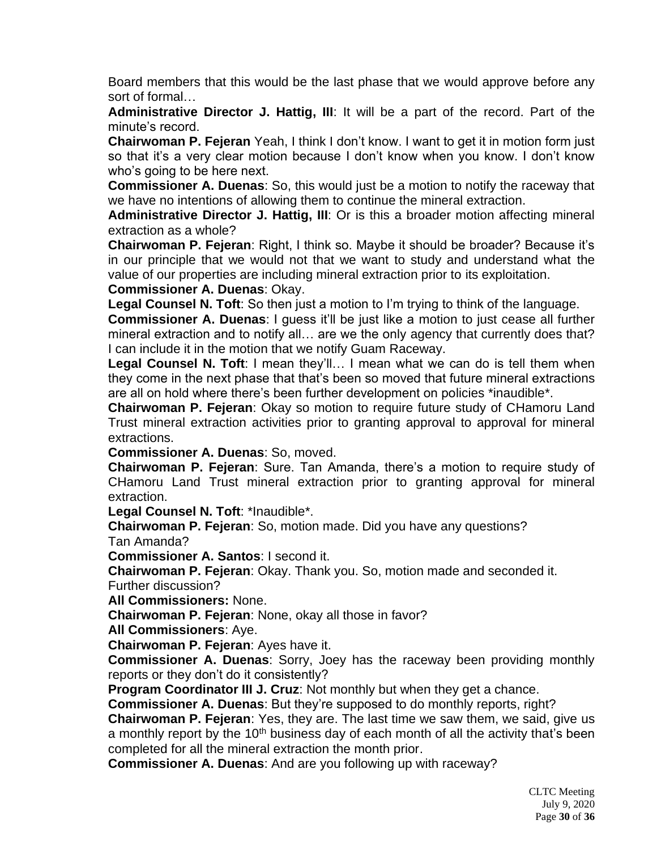Board members that this would be the last phase that we would approve before any sort of formal…

**Administrative Director J. Hattig, III**: It will be a part of the record. Part of the minute's record.

**Chairwoman P. Fejeran** Yeah, I think I don't know. I want to get it in motion form just so that it's a very clear motion because I don't know when you know. I don't know who's going to be here next.

**Commissioner A. Duenas**: So, this would just be a motion to notify the raceway that we have no intentions of allowing them to continue the mineral extraction.

**Administrative Director J. Hattig, III**: Or is this a broader motion affecting mineral extraction as a whole?

**Chairwoman P. Fejeran**: Right, I think so. Maybe it should be broader? Because it's in our principle that we would not that we want to study and understand what the value of our properties are including mineral extraction prior to its exploitation.

**Commissioner A. Duenas**: Okay.

**Legal Counsel N. Toft**: So then just a motion to I'm trying to think of the language.

**Commissioner A. Duenas**: I guess it'll be just like a motion to just cease all further mineral extraction and to notify all… are we the only agency that currently does that? I can include it in the motion that we notify Guam Raceway.

**Legal Counsel N. Toft**: I mean they'll… I mean what we can do is tell them when they come in the next phase that that's been so moved that future mineral extractions are all on hold where there's been further development on policies \*inaudible\*.

**Chairwoman P. Fejeran**: Okay so motion to require future study of CHamoru Land Trust mineral extraction activities prior to granting approval to approval for mineral extractions.

**Commissioner A. Duenas**: So, moved.

**Chairwoman P. Fejeran**: Sure. Tan Amanda, there's a motion to require study of CHamoru Land Trust mineral extraction prior to granting approval for mineral extraction.

**Legal Counsel N. Toft**: \*Inaudible\*.

**Chairwoman P. Fejeran**: So, motion made. Did you have any questions?

Tan Amanda?

**Commissioner A. Santos**: I second it.

**Chairwoman P. Fejeran**: Okay. Thank you. So, motion made and seconded it. Further discussion?

**All Commissioners:** None.

**Chairwoman P. Fejeran**: None, okay all those in favor?

**All Commissioners**: Aye.

**Chairwoman P. Fejeran**: Ayes have it.

**Commissioner A. Duenas**: Sorry, Joey has the raceway been providing monthly reports or they don't do it consistently?

**Program Coordinator III J. Cruz**: Not monthly but when they get a chance.

**Commissioner A. Duenas**: But they're supposed to do monthly reports, right?

**Chairwoman P. Fejeran**: Yes, they are. The last time we saw them, we said, give us a monthly report by the  $10<sup>th</sup>$  business day of each month of all the activity that's been completed for all the mineral extraction the month prior.

**Commissioner A. Duenas**: And are you following up with raceway?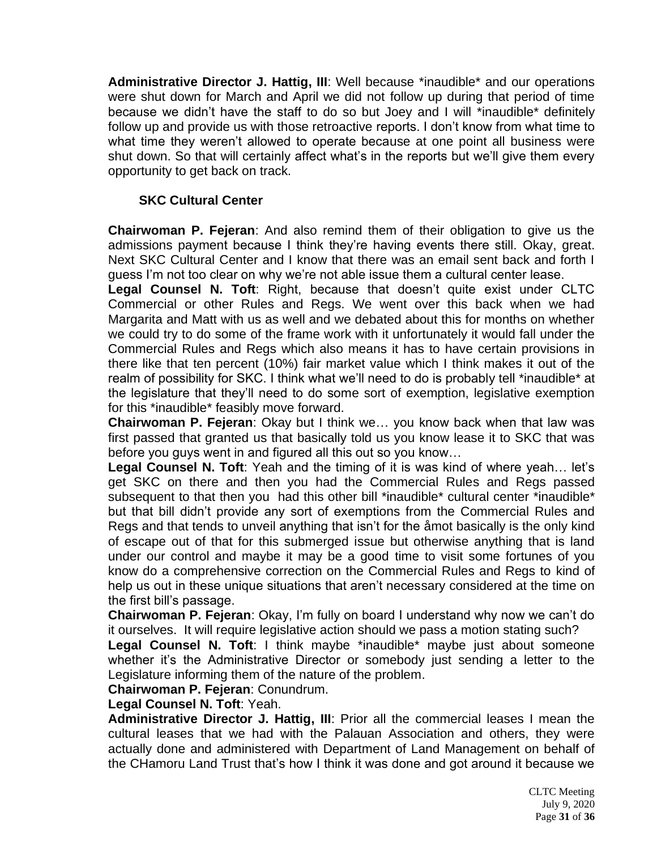**Administrative Director J. Hattig, III**: Well because \*inaudible\* and our operations were shut down for March and April we did not follow up during that period of time because we didn't have the staff to do so but Joey and I will \*inaudible\* definitely follow up and provide us with those retroactive reports. I don't know from what time to what time they weren't allowed to operate because at one point all business were shut down. So that will certainly affect what's in the reports but we'll give them every opportunity to get back on track.

### **SKC Cultural Center**

**Chairwoman P. Fejeran**: And also remind them of their obligation to give us the admissions payment because I think they're having events there still. Okay, great. Next SKC Cultural Center and I know that there was an email sent back and forth I guess I'm not too clear on why we're not able issue them a cultural center lease.

**Legal Counsel N. Toft**: Right, because that doesn't quite exist under CLTC Commercial or other Rules and Regs. We went over this back when we had Margarita and Matt with us as well and we debated about this for months on whether we could try to do some of the frame work with it unfortunately it would fall under the Commercial Rules and Regs which also means it has to have certain provisions in there like that ten percent (10%) fair market value which I think makes it out of the realm of possibility for SKC. I think what we'll need to do is probably tell \*inaudible\* at the legislature that they'll need to do some sort of exemption, legislative exemption for this \*inaudible\* feasibly move forward.

**Chairwoman P. Fejeran**: Okay but I think we… you know back when that law was first passed that granted us that basically told us you know lease it to SKC that was before you guys went in and figured all this out so you know…

**Legal Counsel N. Toft**: Yeah and the timing of it is was kind of where yeah… let's get SKC on there and then you had the Commercial Rules and Regs passed subsequent to that then you had this other bill \*inaudible\* cultural center \*inaudible\* but that bill didn't provide any sort of exemptions from the Commercial Rules and Regs and that tends to unveil anything that isn't for the åmot basically is the only kind of escape out of that for this submerged issue but otherwise anything that is land under our control and maybe it may be a good time to visit some fortunes of you know do a comprehensive correction on the Commercial Rules and Regs to kind of help us out in these unique situations that aren't necessary considered at the time on the first bill's passage.

**Chairwoman P. Fejeran**: Okay, I'm fully on board I understand why now we can't do it ourselves. It will require legislative action should we pass a motion stating such?

Legal Counsel N. Toft: I think maybe \*inaudible\* maybe just about someone whether it's the Administrative Director or somebody just sending a letter to the Legislature informing them of the nature of the problem.

**Chairwoman P. Fejeran**: Conundrum.

**Legal Counsel N. Toft**: Yeah.

**Administrative Director J. Hattig, III**: Prior all the commercial leases I mean the cultural leases that we had with the Palauan Association and others, they were actually done and administered with Department of Land Management on behalf of the CHamoru Land Trust that's how I think it was done and got around it because we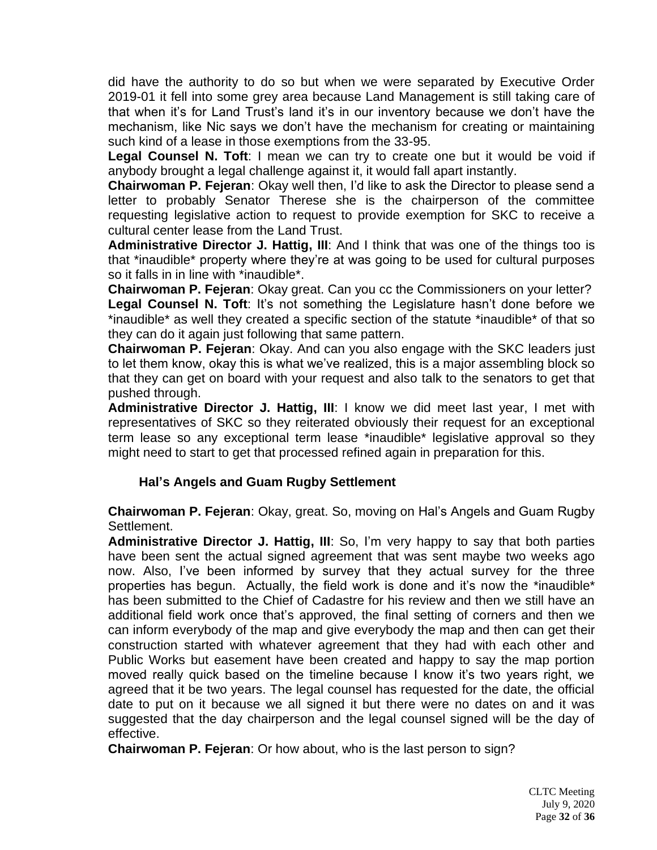did have the authority to do so but when we were separated by Executive Order 2019-01 it fell into some grey area because Land Management is still taking care of that when it's for Land Trust's land it's in our inventory because we don't have the mechanism, like Nic says we don't have the mechanism for creating or maintaining such kind of a lease in those exemptions from the 33-95.

**Legal Counsel N. Toft**: I mean we can try to create one but it would be void if anybody brought a legal challenge against it, it would fall apart instantly.

**Chairwoman P. Fejeran**: Okay well then, I'd like to ask the Director to please send a letter to probably Senator Therese she is the chairperson of the committee requesting legislative action to request to provide exemption for SKC to receive a cultural center lease from the Land Trust.

**Administrative Director J. Hattig, III**: And I think that was one of the things too is that \*inaudible\* property where they're at was going to be used for cultural purposes so it falls in in line with \*inaudible\*.

**Chairwoman P. Fejeran**: Okay great. Can you cc the Commissioners on your letter? Legal Counsel N. Toft: It's not something the Legislature hasn't done before we \*inaudible\* as well they created a specific section of the statute \*inaudible\* of that so they can do it again just following that same pattern.

**Chairwoman P. Fejeran**: Okay. And can you also engage with the SKC leaders just to let them know, okay this is what we've realized, this is a major assembling block so that they can get on board with your request and also talk to the senators to get that pushed through.

**Administrative Director J. Hattig, III**: I know we did meet last year, I met with representatives of SKC so they reiterated obviously their request for an exceptional term lease so any exceptional term lease \*inaudible\* legislative approval so they might need to start to get that processed refined again in preparation for this.

#### **Hal's Angels and Guam Rugby Settlement**

**Chairwoman P. Fejeran**: Okay, great. So, moving on Hal's Angels and Guam Rugby Settlement.

**Administrative Director J. Hattig, III**: So, I'm very happy to say that both parties have been sent the actual signed agreement that was sent maybe two weeks ago now. Also, I've been informed by survey that they actual survey for the three properties has begun. Actually, the field work is done and it's now the \*inaudible\* has been submitted to the Chief of Cadastre for his review and then we still have an additional field work once that's approved, the final setting of corners and then we can inform everybody of the map and give everybody the map and then can get their construction started with whatever agreement that they had with each other and Public Works but easement have been created and happy to say the map portion moved really quick based on the timeline because I know it's two years right, we agreed that it be two years. The legal counsel has requested for the date, the official date to put on it because we all signed it but there were no dates on and it was suggested that the day chairperson and the legal counsel signed will be the day of effective.

**Chairwoman P. Fejeran**: Or how about, who is the last person to sign?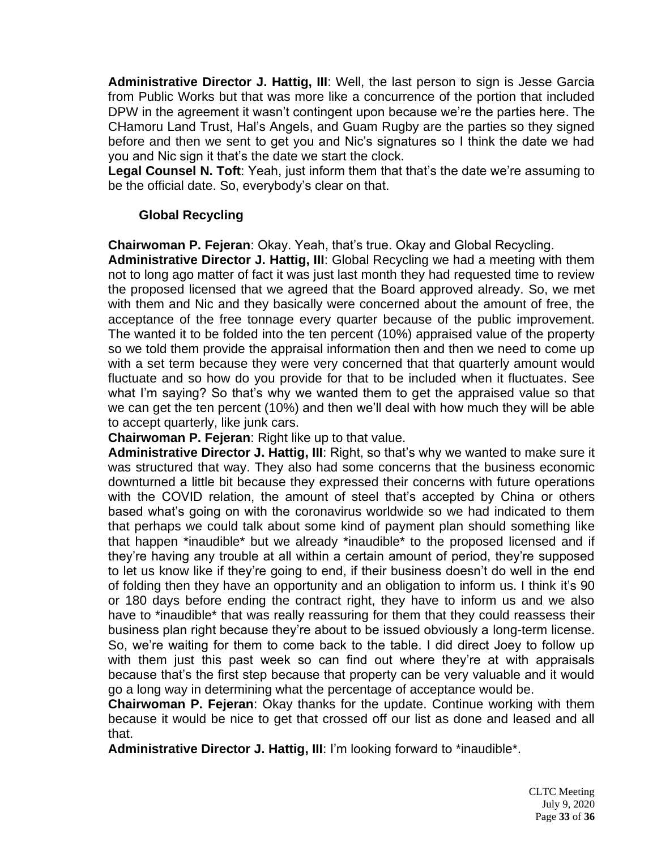**Administrative Director J. Hattig, III**: Well, the last person to sign is Jesse Garcia from Public Works but that was more like a concurrence of the portion that included DPW in the agreement it wasn't contingent upon because we're the parties here. The CHamoru Land Trust, Hal's Angels, and Guam Rugby are the parties so they signed before and then we sent to get you and Nic's signatures so I think the date we had you and Nic sign it that's the date we start the clock.

**Legal Counsel N. Toft**: Yeah, just inform them that that's the date we're assuming to be the official date. So, everybody's clear on that.

## **Global Recycling**

**Chairwoman P. Fejeran**: Okay. Yeah, that's true. Okay and Global Recycling.

**Administrative Director J. Hattig, III**: Global Recycling we had a meeting with them not to long ago matter of fact it was just last month they had requested time to review the proposed licensed that we agreed that the Board approved already. So, we met with them and Nic and they basically were concerned about the amount of free, the acceptance of the free tonnage every quarter because of the public improvement. The wanted it to be folded into the ten percent (10%) appraised value of the property so we told them provide the appraisal information then and then we need to come up with a set term because they were very concerned that that quarterly amount would fluctuate and so how do you provide for that to be included when it fluctuates. See what I'm saying? So that's why we wanted them to get the appraised value so that we can get the ten percent (10%) and then we'll deal with how much they will be able to accept quarterly, like junk cars.

**Chairwoman P. Fejeran**: Right like up to that value.

**Administrative Director J. Hattig, III**: Right, so that's why we wanted to make sure it was structured that way. They also had some concerns that the business economic downturned a little bit because they expressed their concerns with future operations with the COVID relation, the amount of steel that's accepted by China or others based what's going on with the coronavirus worldwide so we had indicated to them that perhaps we could talk about some kind of payment plan should something like that happen \*inaudible\* but we already \*inaudible\* to the proposed licensed and if they're having any trouble at all within a certain amount of period, they're supposed to let us know like if they're going to end, if their business doesn't do well in the end of folding then they have an opportunity and an obligation to inform us. I think it's 90 or 180 days before ending the contract right, they have to inform us and we also have to \*inaudible\* that was really reassuring for them that they could reassess their business plan right because they're about to be issued obviously a long-term license. So, we're waiting for them to come back to the table. I did direct Joey to follow up with them just this past week so can find out where they're at with appraisals because that's the first step because that property can be very valuable and it would go a long way in determining what the percentage of acceptance would be.

**Chairwoman P. Fejeran**: Okay thanks for the update. Continue working with them because it would be nice to get that crossed off our list as done and leased and all that.

**Administrative Director J. Hattig, III**: I'm looking forward to \*inaudible\*.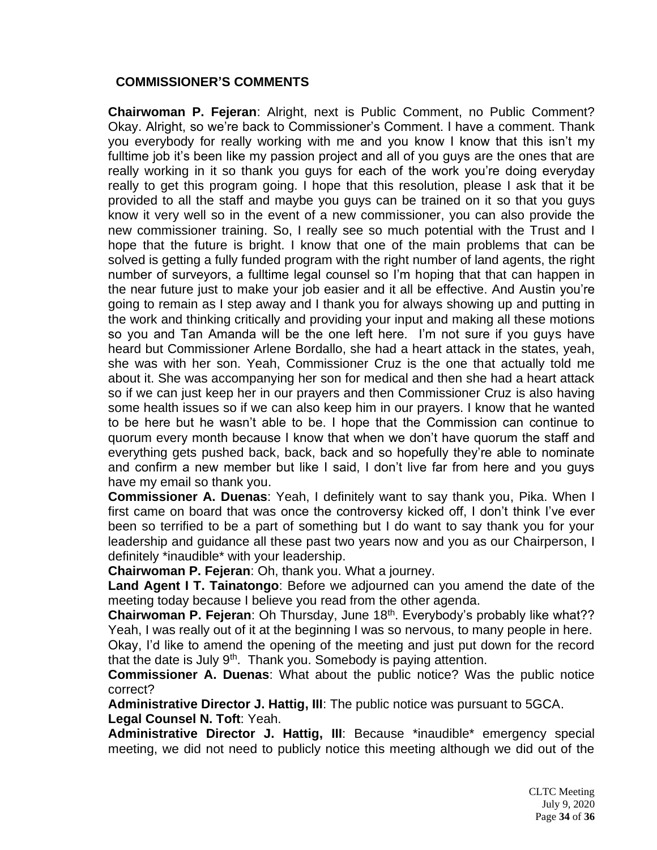### **COMMISSIONER'S COMMENTS**

**Chairwoman P. Fejeran**: Alright, next is Public Comment, no Public Comment? Okay. Alright, so we're back to Commissioner's Comment. I have a comment. Thank you everybody for really working with me and you know I know that this isn't my fulltime job it's been like my passion project and all of you guys are the ones that are really working in it so thank you guys for each of the work you're doing everyday really to get this program going. I hope that this resolution, please I ask that it be provided to all the staff and maybe you guys can be trained on it so that you guys know it very well so in the event of a new commissioner, you can also provide the new commissioner training. So, I really see so much potential with the Trust and I hope that the future is bright. I know that one of the main problems that can be solved is getting a fully funded program with the right number of land agents, the right number of surveyors, a fulltime legal counsel so I'm hoping that that can happen in the near future just to make your job easier and it all be effective. And Austin you're going to remain as I step away and I thank you for always showing up and putting in the work and thinking critically and providing your input and making all these motions so you and Tan Amanda will be the one left here. I'm not sure if you guys have heard but Commissioner Arlene Bordallo, she had a heart attack in the states, yeah, she was with her son. Yeah, Commissioner Cruz is the one that actually told me about it. She was accompanying her son for medical and then she had a heart attack so if we can just keep her in our prayers and then Commissioner Cruz is also having some health issues so if we can also keep him in our prayers. I know that he wanted to be here but he wasn't able to be. I hope that the Commission can continue to quorum every month because I know that when we don't have quorum the staff and everything gets pushed back, back, back and so hopefully they're able to nominate and confirm a new member but like I said, I don't live far from here and you guys have my email so thank you.

**Commissioner A. Duenas**: Yeah, I definitely want to say thank you, Pika. When I first came on board that was once the controversy kicked off, I don't think I've ever been so terrified to be a part of something but I do want to say thank you for your leadership and guidance all these past two years now and you as our Chairperson, I definitely \*inaudible\* with your leadership.

**Chairwoman P. Fejeran**: Oh, thank you. What a journey.

**Land Agent I T. Tainatongo**: Before we adjourned can you amend the date of the meeting today because I believe you read from the other agenda.

**Chairwoman P. Fejeran:** Oh Thursday, June 18<sup>th</sup>. Everybody's probably like what?? Yeah, I was really out of it at the beginning I was so nervous, to many people in here.

Okay, I'd like to amend the opening of the meeting and just put down for the record that the date is July  $9<sup>th</sup>$ . Thank you. Somebody is paying attention.

**Commissioner A. Duenas**: What about the public notice? Was the public notice correct?

**Administrative Director J. Hattig, III**: The public notice was pursuant to 5GCA. **Legal Counsel N. Toft**: Yeah.

**Administrative Director J. Hattig, III**: Because \*inaudible\* emergency special meeting, we did not need to publicly notice this meeting although we did out of the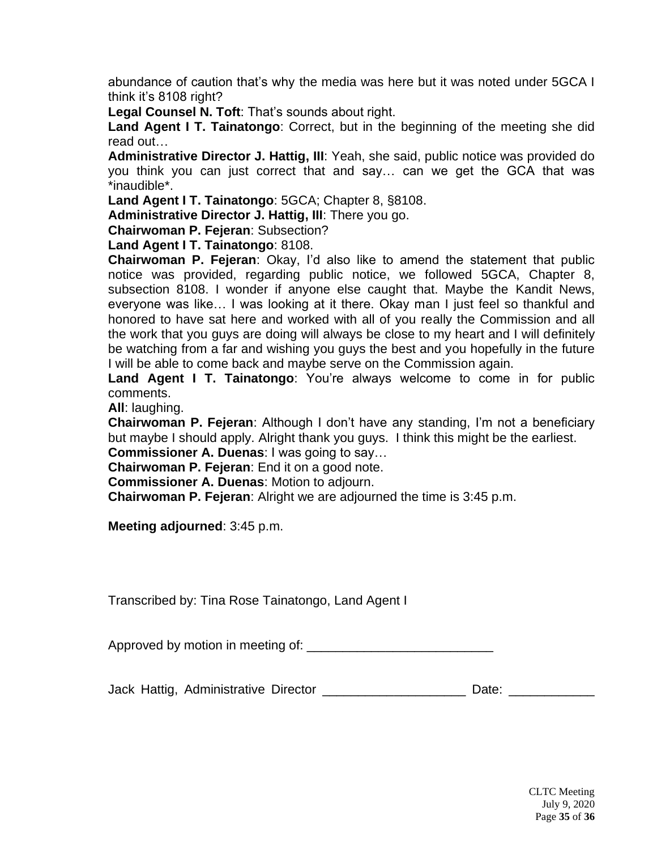abundance of caution that's why the media was here but it was noted under 5GCA I think it's 8108 right?

**Legal Counsel N. Toft**: That's sounds about right.

**Land Agent I T. Tainatongo**: Correct, but in the beginning of the meeting she did read out…

**Administrative Director J. Hattig, III**: Yeah, she said, public notice was provided do you think you can just correct that and say… can we get the GCA that was \*inaudible\*.

**Land Agent I T. Tainatongo**: 5GCA; Chapter 8, §8108.

**Administrative Director J. Hattig, III**: There you go.

**Chairwoman P. Fejeran**: Subsection?

**Land Agent I T. Tainatongo**: 8108.

**Chairwoman P. Fejeran**: Okay, I'd also like to amend the statement that public notice was provided, regarding public notice, we followed 5GCA, Chapter 8, subsection 8108. I wonder if anyone else caught that. Maybe the Kandit News, everyone was like… I was looking at it there. Okay man I just feel so thankful and honored to have sat here and worked with all of you really the Commission and all the work that you guys are doing will always be close to my heart and I will definitely be watching from a far and wishing you guys the best and you hopefully in the future I will be able to come back and maybe serve on the Commission again.

**Land Agent I T. Tainatongo**: You're always welcome to come in for public comments.

**All**: laughing.

**Chairwoman P. Fejeran**: Although I don't have any standing, I'm not a beneficiary but maybe I should apply. Alright thank you guys. I think this might be the earliest.

**Commissioner A. Duenas**: I was going to say…

**Chairwoman P. Fejeran**: End it on a good note.

**Commissioner A. Duenas**: Motion to adjourn.

**Chairwoman P. Fejeran**: Alright we are adjourned the time is 3:45 p.m.

**Meeting adjourned**: 3:45 p.m.

Transcribed by: Tina Rose Tainatongo, Land Agent I

Approved by motion in meeting of:

Jack Hattig, Administrative Director \_\_\_\_\_\_\_\_\_\_\_\_\_\_\_\_\_\_\_\_\_\_\_\_\_ Date: \_\_\_\_\_\_\_\_\_\_\_